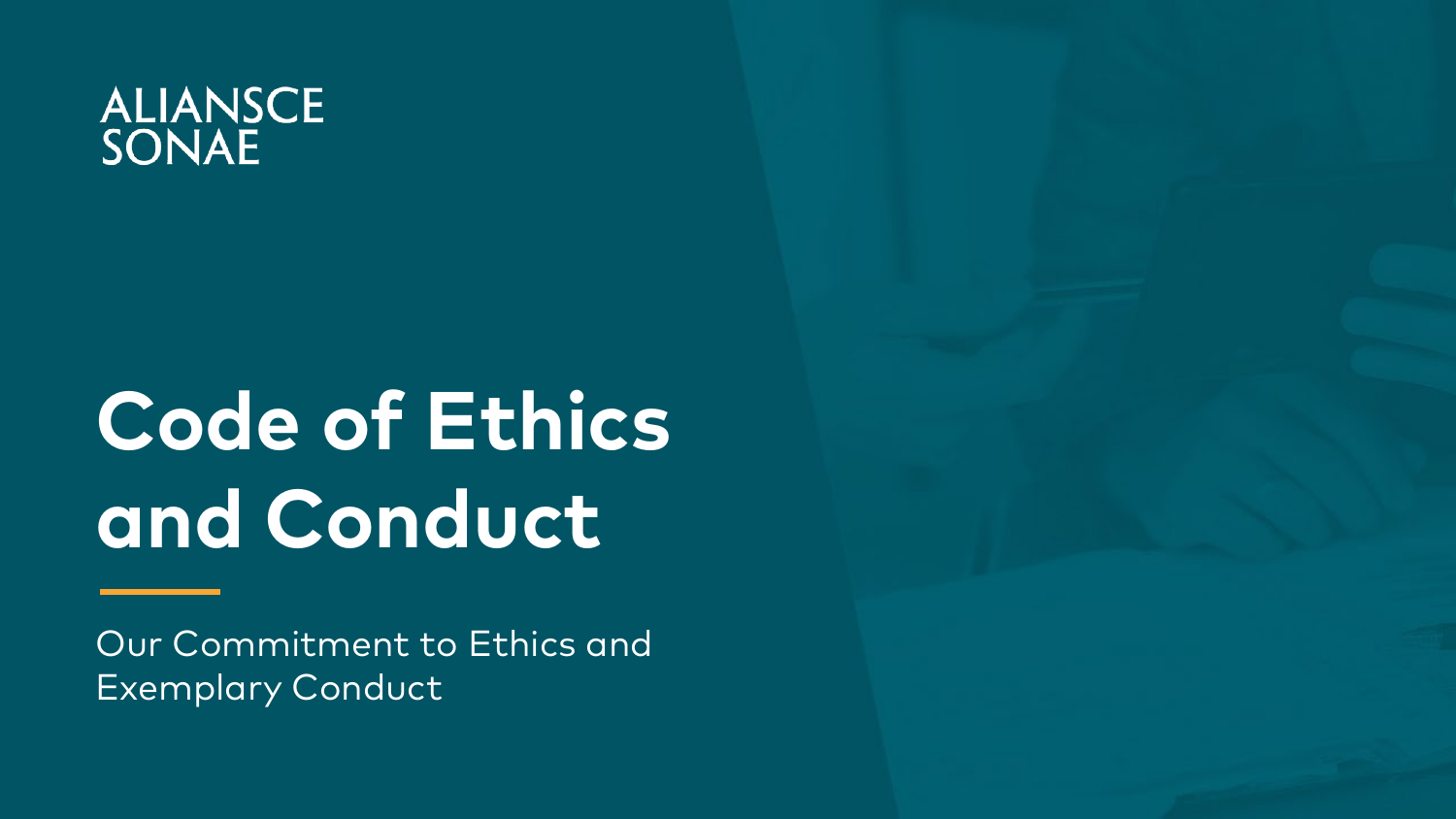# ALIANSCE<br>SONAE

## **Code of Ethics and Conduct**

Our Commitment to Ethics and Exemplary Conduct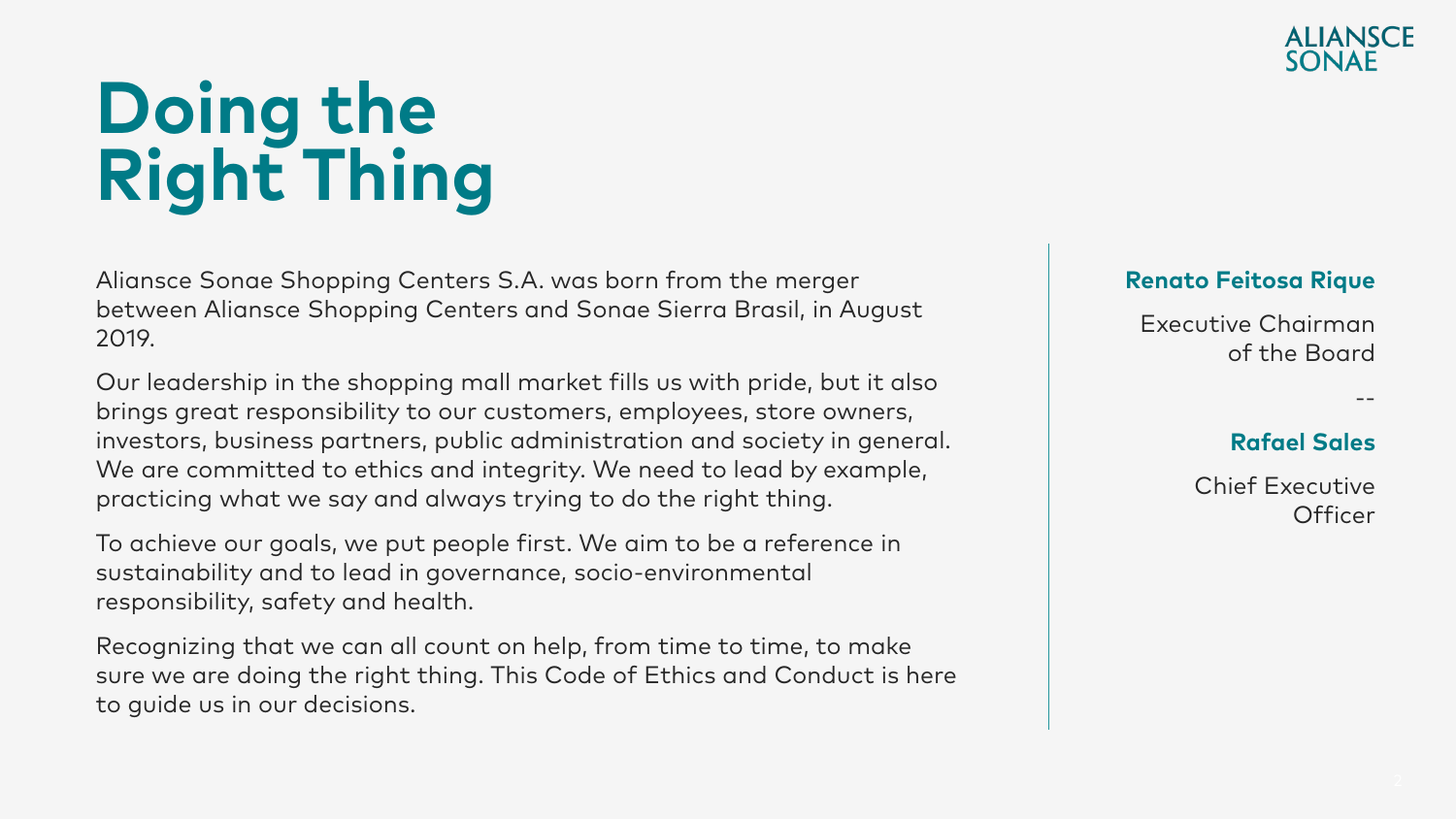## **Doing the Right Thing**

Aliansce Sonae Shopping Centers S.A. was born from the merger between Aliansce Shopping Centers and Sonae Sierra Brasil, in August 2019.

Our leadership in the shopping mall market fills us with pride, but it also brings great responsibility to our customers, employees, store owners, investors, business partners, public administration and society in general. We are committed to ethics and integrity. We need to lead by example, practicing what we say and always trying to do the right thing.

To achieve our goals, we put people first. We aim to be a reference in sustainability and to lead in governance, socio-environmental responsibility, safety and health.

Recognizing that we can all count on help, from time to time, to make sure we are doing the right thing. This Code of Ethics and Conduct is here to guide us in our decisions.



#### **Renato Feitosa Rique**

Executive Chairman of the Board

#### **Rafael Sales**

--

Chief Executive **Officer**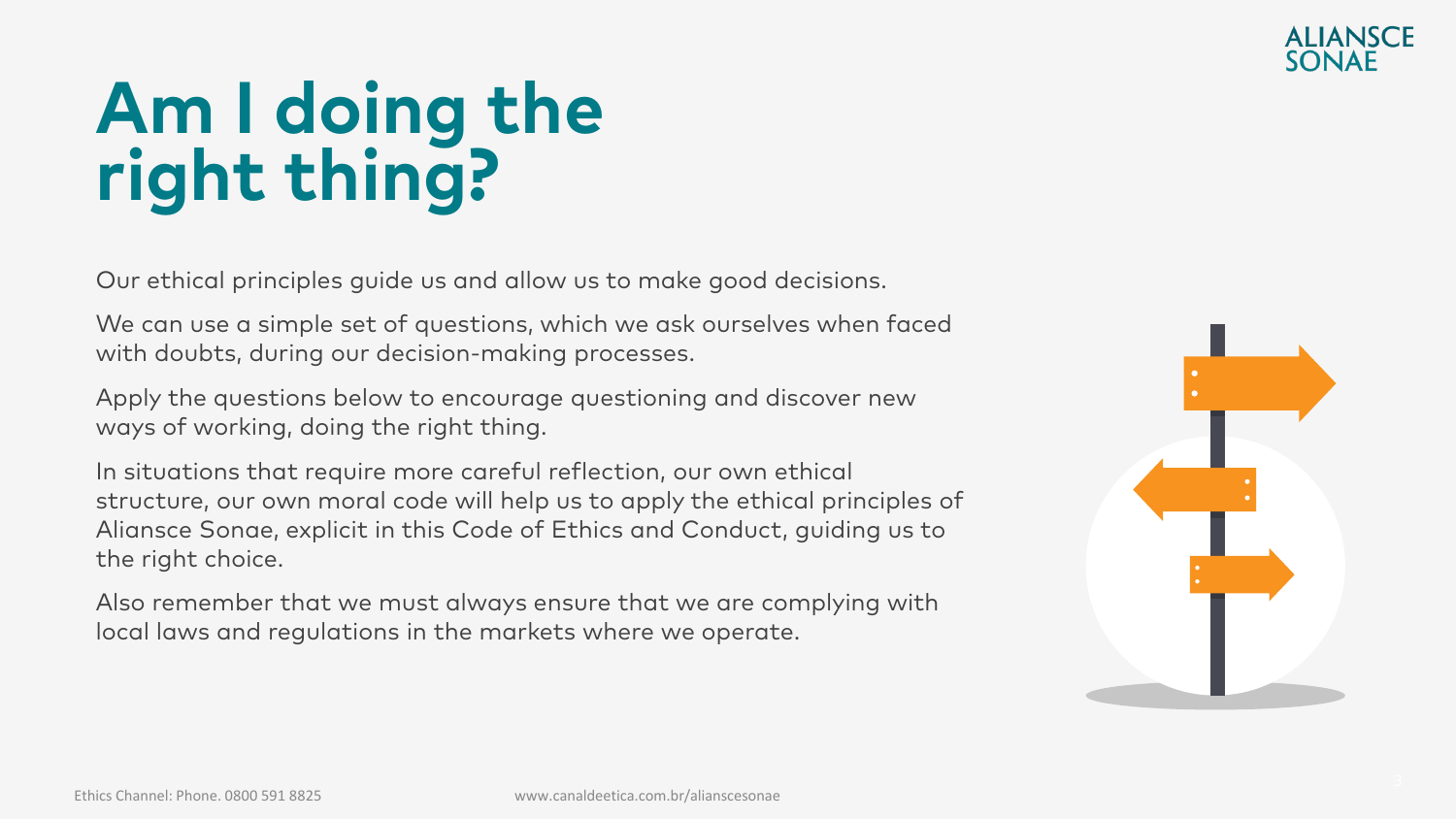### **ALIANSCE**

## **Am I doing the right thing?**

Our ethical principles guide us and allow us to make good decisions.

We can use a simple set of questions, which we ask ourselves when faced with doubts, during our decision-making processes.

Apply the questions below to encourage questioning and discover new ways of working, doing the right thing.

In situations that require more careful reflection, our own ethical structure, our own moral code will help us to apply the ethical principles of Aliansce Sonae, explicit in this Code of Ethics and Conduct, guiding us to the right choice.

Also remember that we must always ensure that we are complying with local laws and regulations in the markets where we operate.

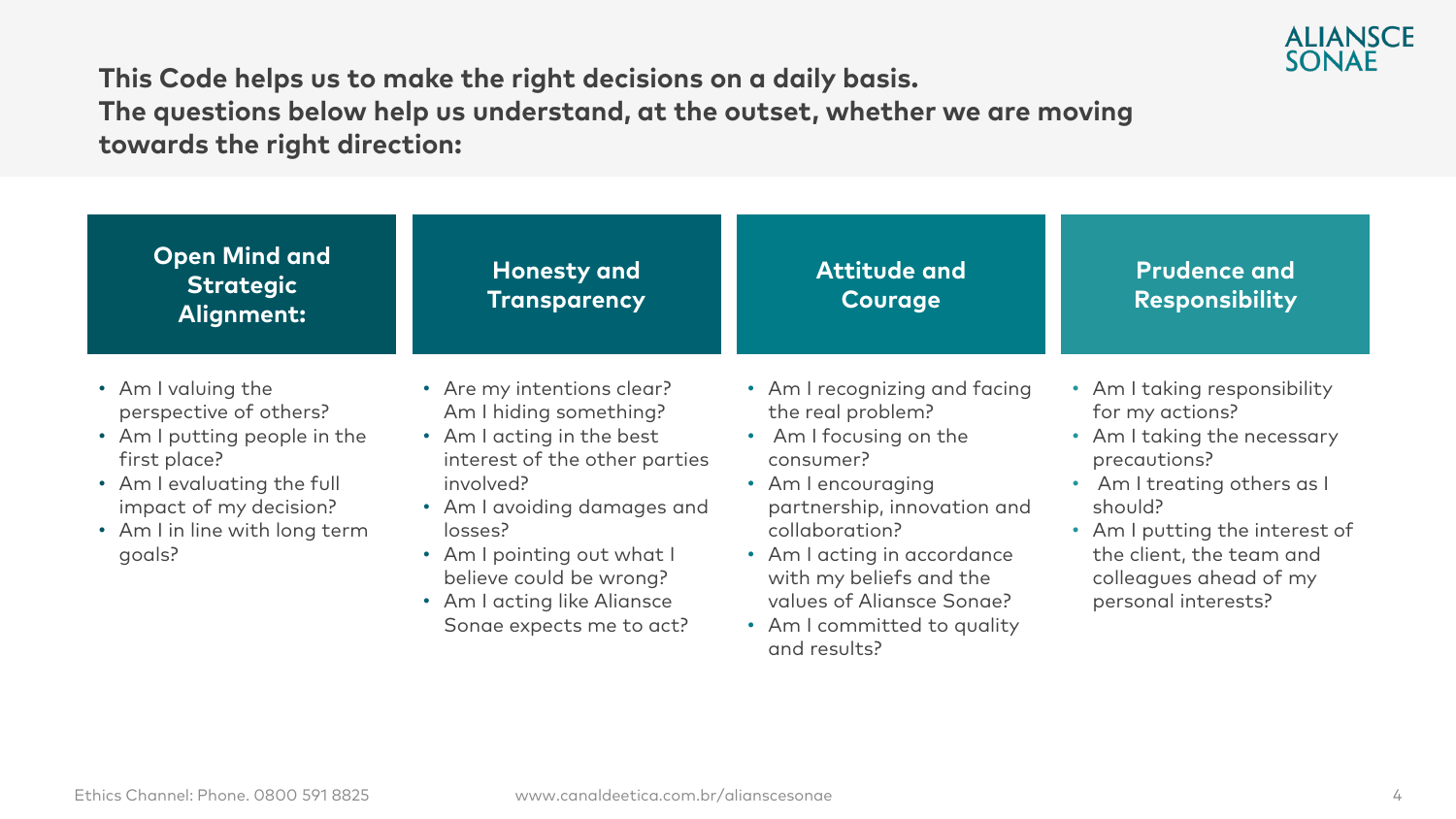

CÓDIGO DE ÉTICA DE ÉTICA DE ÉTICA DE ÉTICA DE ÉTICA DE ÉTICA DE ÉTICA DE ÉTICA DE ÉTICA DE ÉTICA DE ÉTICA DE É<br>CODIGO DE ÉTICA DE ÉTICA DE ÉTICA DE ÉTICA DE ÉTICA DE ÉTICA DE ÉTICA DE ÉTICA DE ÉTICA DE ÉTICA DE ÉTICA DE É **This Code helps us to make the right decisions on a daily basis. The questions below help us understand, at the outset, whether we are moving towards the right direction:**

| <b>Open Mind and</b><br><b>Strategic</b><br>Alignment:                                                                                                                                          | <b>Honesty and</b><br><b>Transparency</b>                                                                                                                                                                                                                                                     | <b>Attitude and</b><br><b>Courage</b>                                                                                                                                                                                                                                                                  | <b>Prudence and</b><br><b>Responsibility</b>                                                                                                                                                                                                            |
|-------------------------------------------------------------------------------------------------------------------------------------------------------------------------------------------------|-----------------------------------------------------------------------------------------------------------------------------------------------------------------------------------------------------------------------------------------------------------------------------------------------|--------------------------------------------------------------------------------------------------------------------------------------------------------------------------------------------------------------------------------------------------------------------------------------------------------|---------------------------------------------------------------------------------------------------------------------------------------------------------------------------------------------------------------------------------------------------------|
| • Am I valuing the<br>perspective of others?<br>• Am I putting people in the<br>first place?<br>• Am I evaluating the full<br>impact of my decision?<br>• Am I in line with long term<br>goals? | • Are my intentions clear?<br>Am I hiding something?<br>• Am I acting in the best<br>interest of the other parties<br>involved?<br>• Am I avoiding damages and<br>losses?<br>• Am I pointing out what I<br>believe could be wrong?<br>• Am I acting like Aliansce<br>Sonae expects me to act? | • Am I recognizing and facing<br>the real problem?<br>• Am I focusing on the<br>consumer?<br>• Am I encouraging<br>partnership, innovation and<br>collaboration?<br>• Am I acting in accordance<br>with my beliefs and the<br>values of Aliansce Sonae?<br>• Am I committed to quality<br>and results? | • Am I taking responsibility<br>for my actions?<br>• Am I taking the necessary<br>precautions?<br>• Am I treating others as I<br>should?<br>• Am I putting the interest of<br>the client, the team and<br>colleagues ahead of my<br>personal interests? |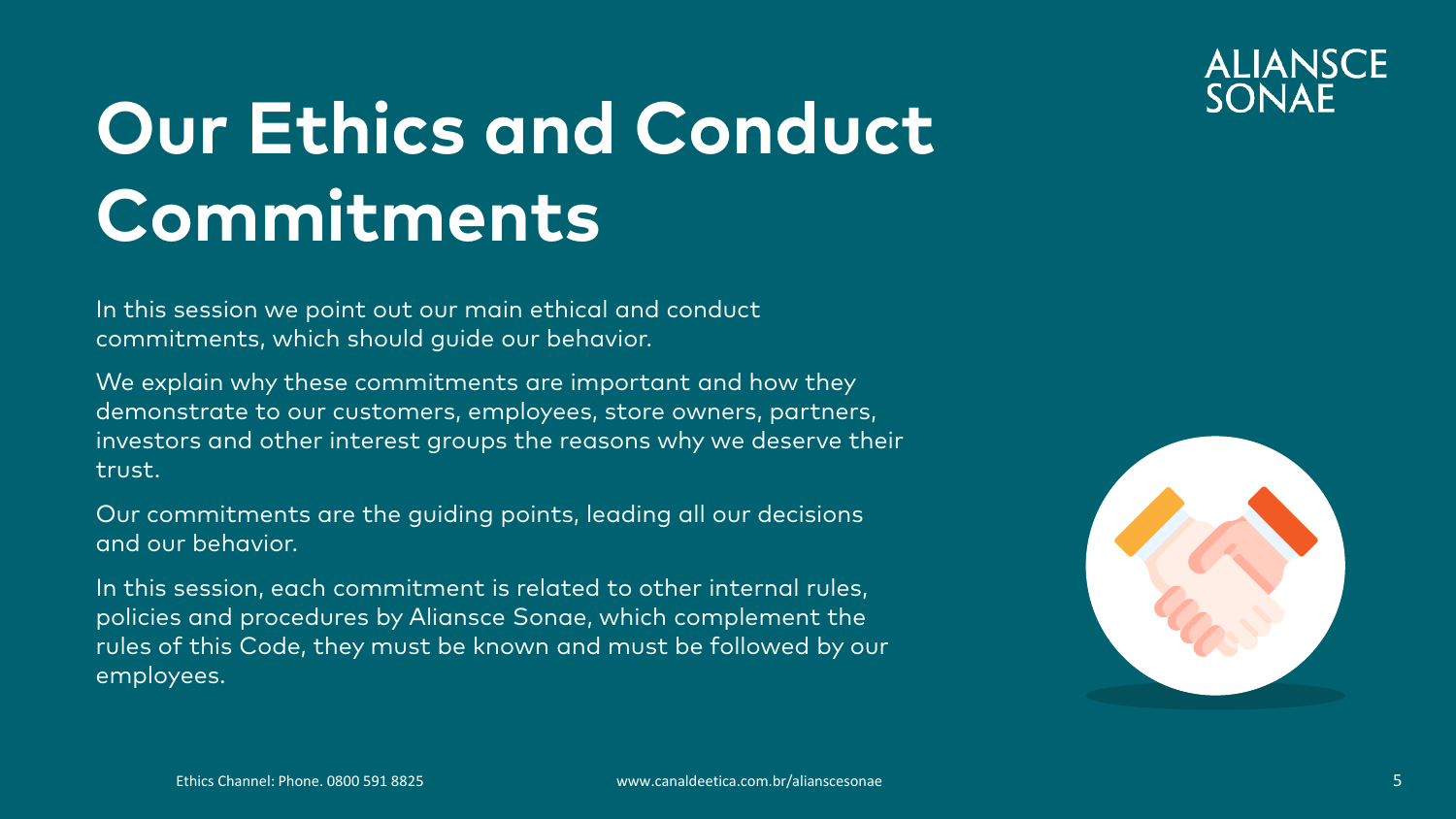

## **Our Ethics and Conduct Commitments**

In this session we point out our main ethical and conduct commitments, which should guide our behavior.

We explain why these commitments are important and how they demonstrate to our customers, employees, store owners, partners, investors and other interest groups the reasons why we deserve their trust.

Our commitments are the guiding points, leading all our decisions and our behavior.

In this session, each commitment is related to other internal rules, policies and procedures by Aliansce Sonae, which complement the rules of this Code, they must be known and must be followed by our employees.

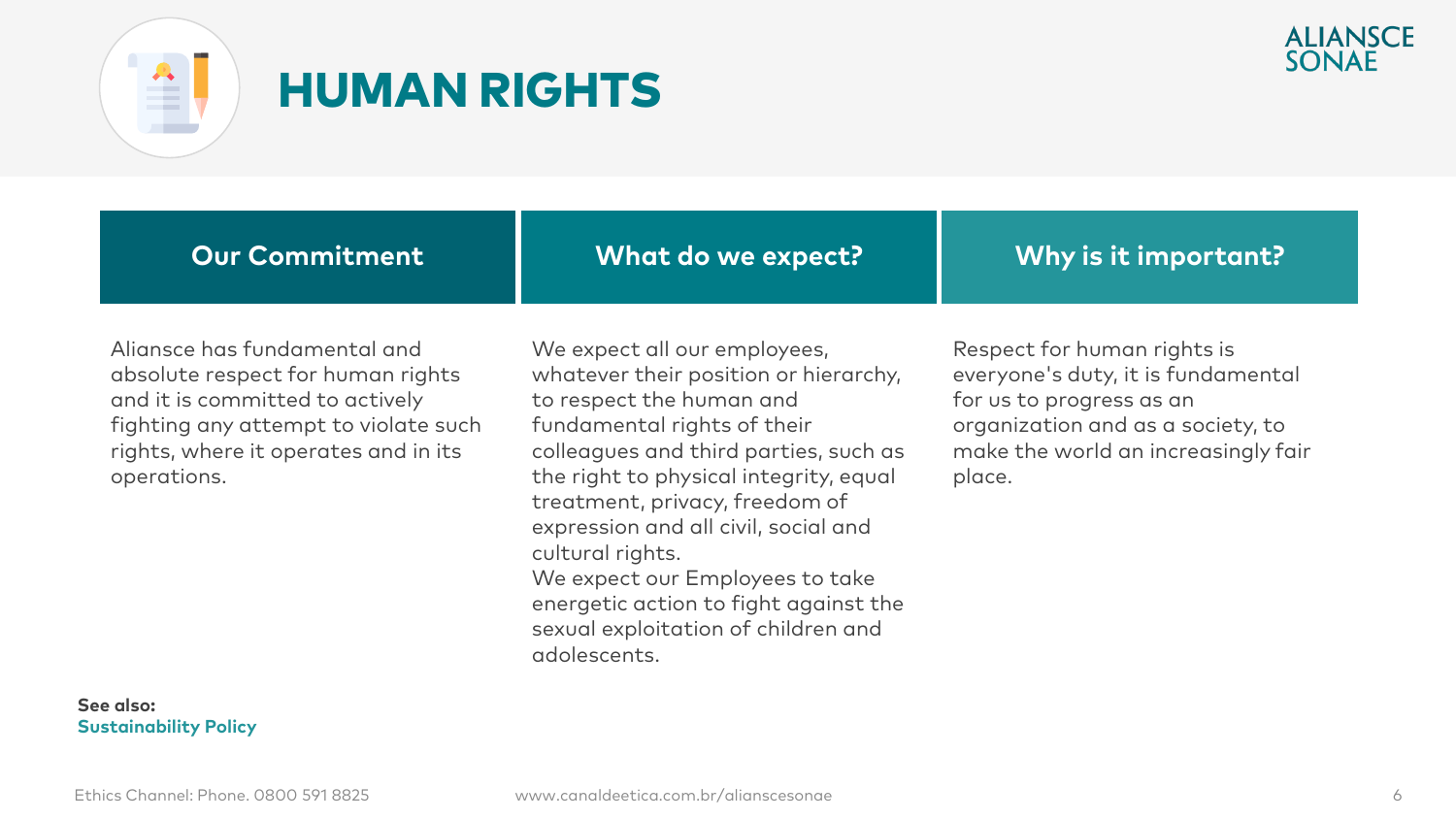



#### HUMAN RIGHTS

| <b>Our Commitment</b> |
|-----------------------|
|                       |

**What do we expect?**

**Why is it important?**

Aliansce has fundamental and absolute respect for human rights and it is committed to actively fighting any attempt to violate such rights, where it operates and in its operations.

**See also: Sustainability Policy**

We expect all our employees, whatever their position or hierarchy, to respect the human and fundamental rights of their colleagues and third parties, such as the right to physical integrity, equal treatment, privacy, freedom of expression and all civil, social and cultural rights. We expect our Employees to take energetic action to fight against the sexual exploitation of children and

Respect for human rights is everyone's duty, it is fundamental for us to progress as an organization and as a society, to make the world an increasingly fair place.

adolescents.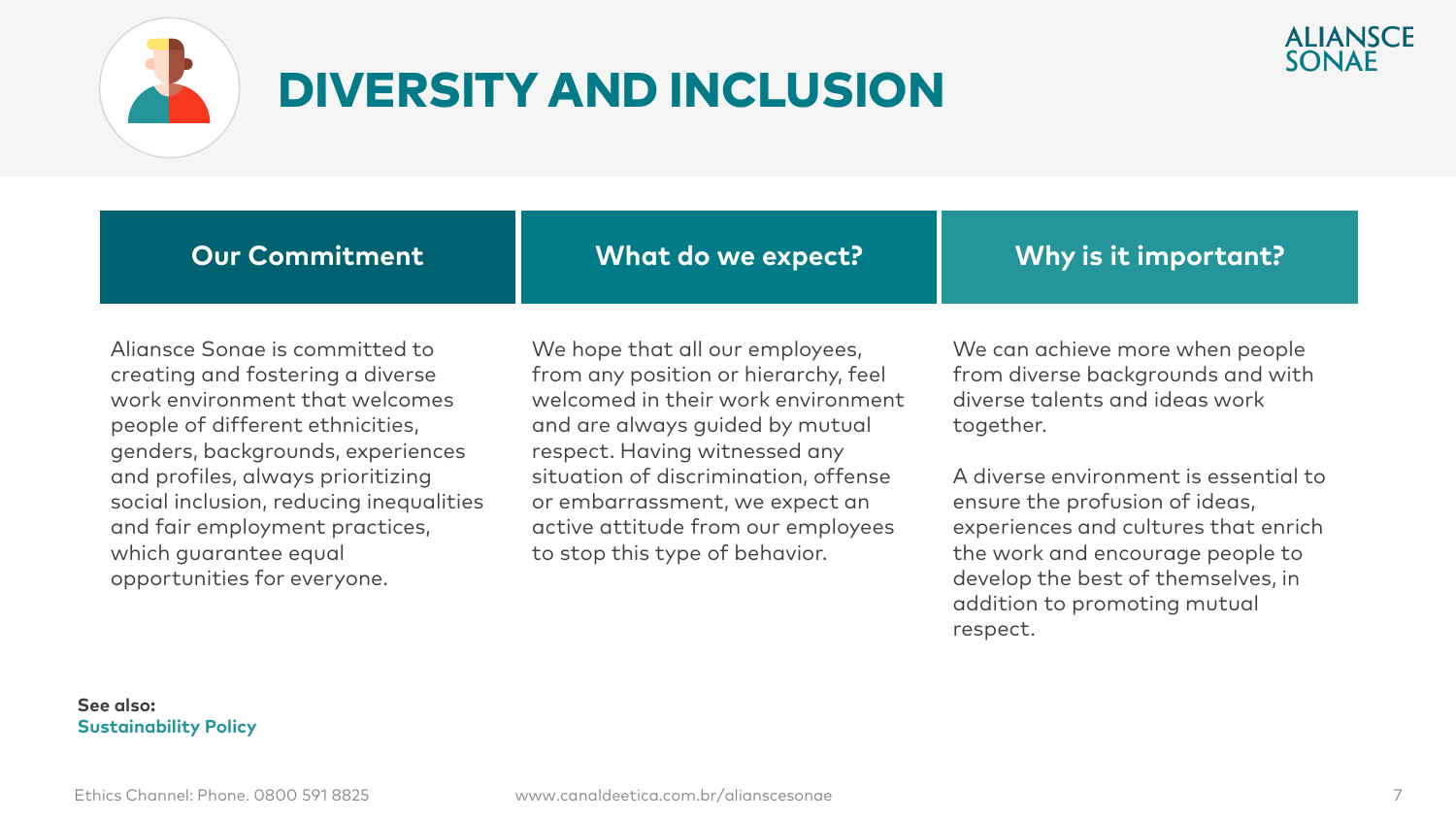

### DIVERSITY AND INCLUSION

**Our Commitment**

**What do we expect?**

**Why is it important?**

Aliansce Sonae is committed to creating and fostering a diverse work environment that welcomes people of different ethnicities, genders, backgrounds, experiences and profiles, always prioritizing social inclusion, reducing inequalities and fair employment practices, which guarantee equal opportunities for everyone.

We hope that all our employees, from any position or hierarchy, feel welcomed in their work environment and are always guided by mutual respect. Having witnessed any situation of discrimination, offense or embarrassment, we expect an active attitude from our employees to stop this type of behavior.

We can achieve more when people from diverse backgrounds and with diverse talents and ideas work together.

A diverse environment is essential to ensure the profusion of ideas, experiences and cultures that enrich the work and encourage people to develop the best of themselves, in addition to promoting mutual respect.

#### **See also: Sustainability Policy**

**ALIANSCE** SONAF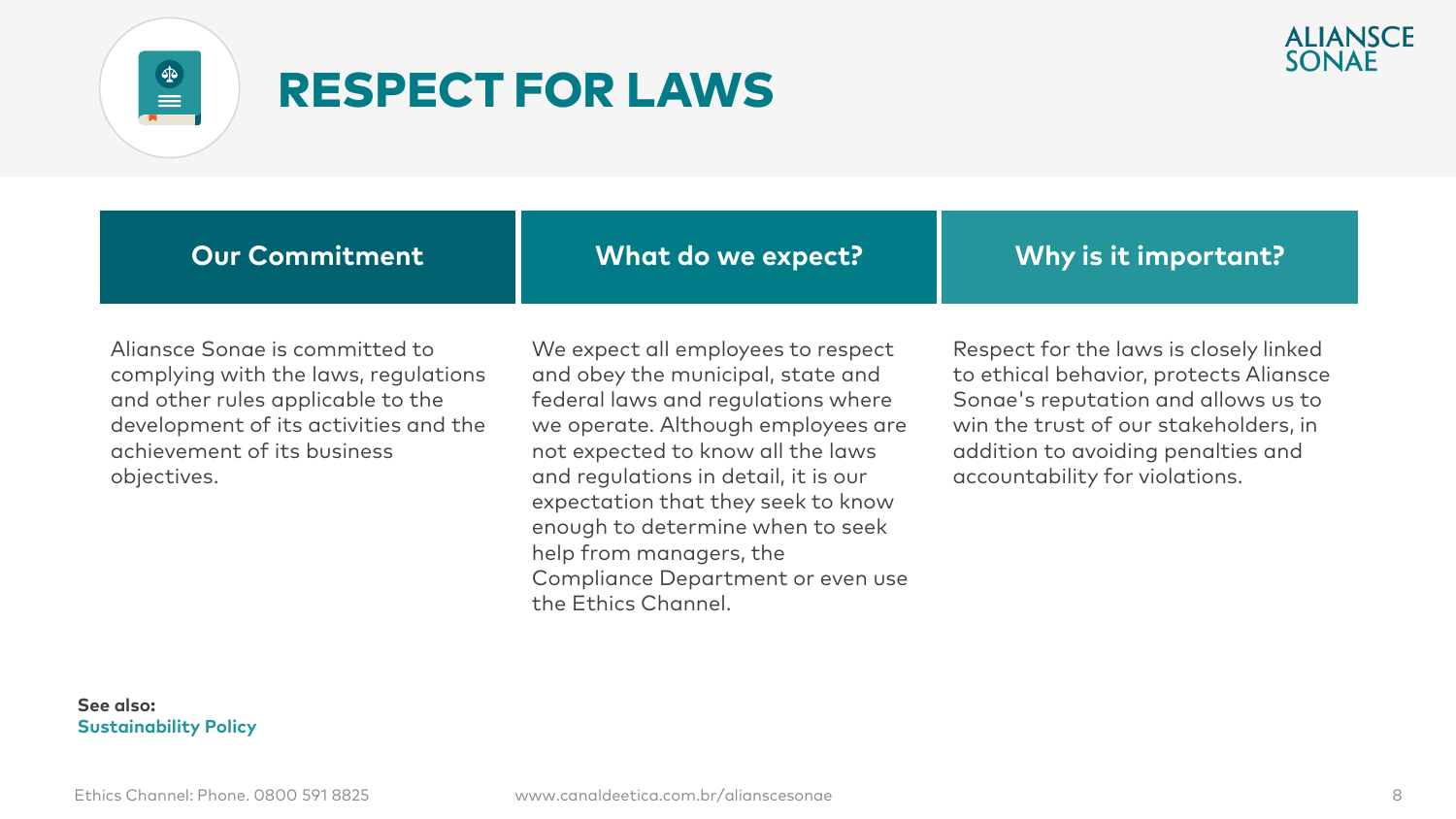



#### RESPECT FOR LAWS

Aliansce Sonae is committed to complying with the laws, regulations and other rules applicable to the development of its activities and the achievement of its business objectives.

We expect all employees to respect and obey the municipal, state and federal laws and regulations where we operate. Although employees are not expected to know all the laws and regulations in detail, it is our expectation that they seek to know enough to determine when to seek help from managers, the Compliance Department or even use the Ethics Channel.

Respect for the laws is closely linked to ethical behavior, protects Aliansce Sonae's reputation and allows us to win the trust of our stakeholders, in addition to avoiding penalties and accountability for violations.

#### **See also: Sustainability Policy**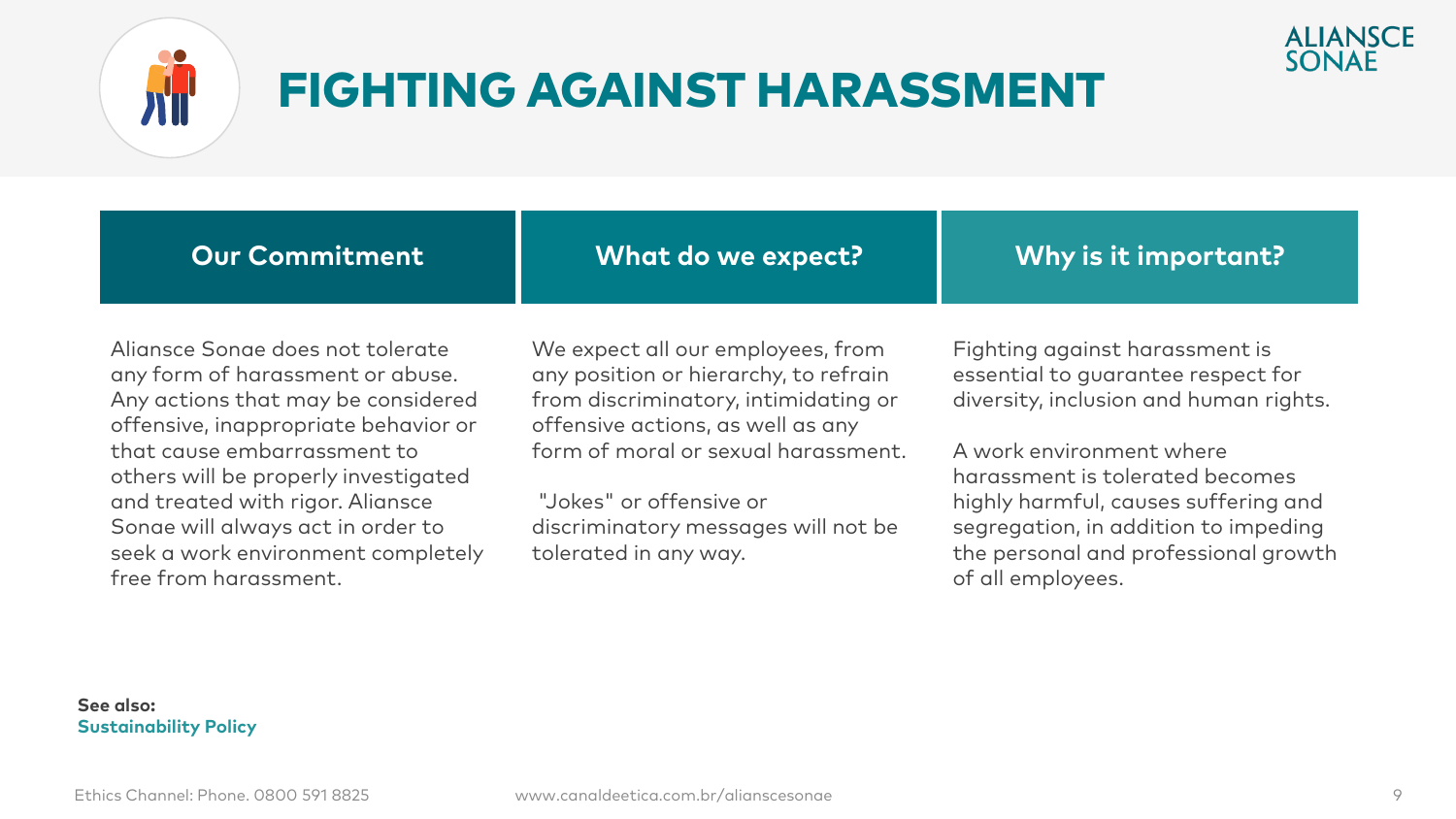

### FIGHTING AGAINST HARASSMENT

| <b>Our Commitment</b>                | What do we expect?                    | Why is it important?                   |
|--------------------------------------|---------------------------------------|----------------------------------------|
| Aliansce Sonae does not tolerate     | We expect all our employees, from     | Fighting against harassment is         |
| any form of harassment or abuse.     | any position or hierarchy, to refrain | essential to quarantee respect for     |
| Any actions that may be considered   | from discriminatory, intimidating or  | diversity, inclusion and human rights. |
| offensive, inappropriate behavior or | offensive actions, as well as any     |                                        |
| that cause embarrassment to          | form of moral or sexual harassment.   | A work environment where               |
| others will be properly investigated |                                       | harassment is tolerated becomes        |
| and treated with rigor. Aliansce     | "Jokes" or offensive or               | highly harmful, causes suffering and   |
| Sonae will always act in order to    | discriminatory messages will not be   | segregation, in addition to impeding   |
| seek a work environment completely   | tolerated in any way.                 | the personal and professional growth   |
| free from harassment.                |                                       | of all employees.                      |

of all employees.

**ALIANSCE**<br>SONAE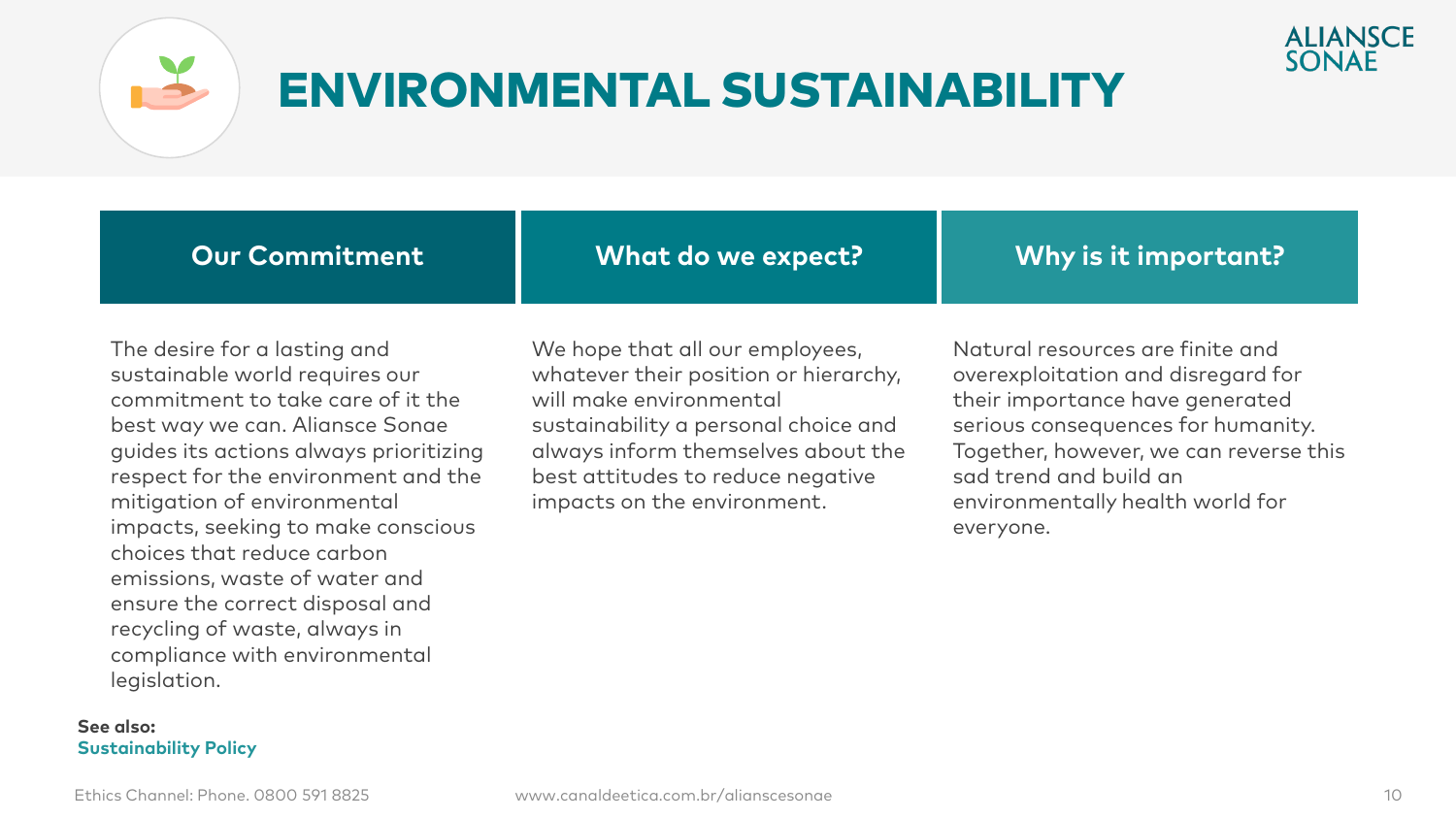



### ENVIRONMENTAL SUSTAINABILITY

**Our Commitment**

**What do we expect?**

**Why is it important?**

The desire for a lasting and sustainable world requires our commitment to take care of it the best way we can. Aliansce Sonae guides its actions always prioritizing respect for the environment and the mitigation of environmental impacts, seeking to make conscious choices that reduce carbon emissions, waste of water and ensure the correct disposal and recycling of waste, always in compliance with environmental legislation.

**See also: Sustainability Policy** We hope that all our employees, whatever their position or hierarchy, will make environmental sustainability a personal choice and always inform themselves about the best attitudes to reduce negative impacts on the environment.

Natural resources are finite and overexploitation and disregard for their importance have generated serious consequences for humanity. Together, however, we can reverse this sad trend and build an environmentally health world for everyone.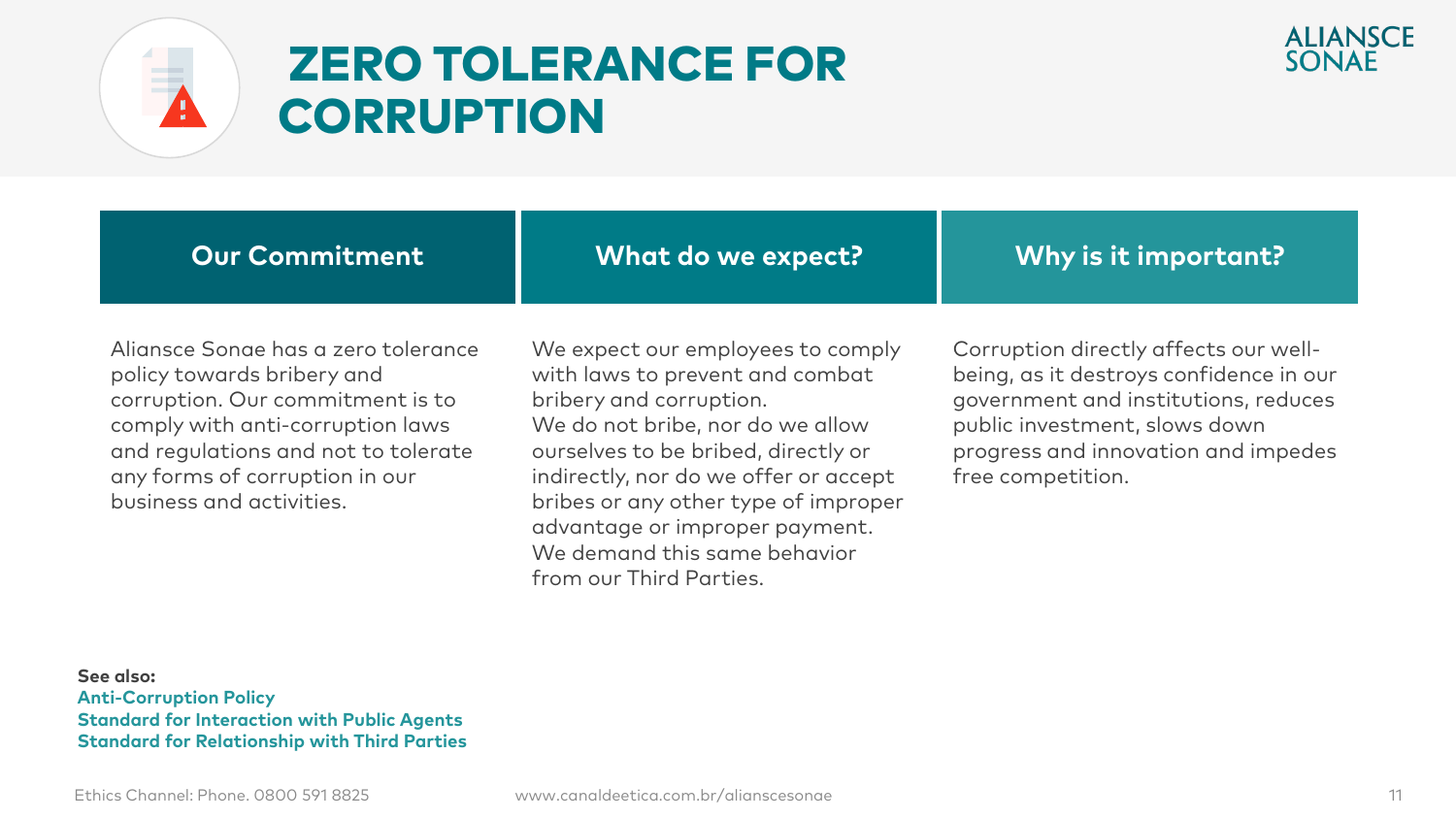

### ZERO TOLERANCE FOR **CORRUPTION**

| <b>Our Commitment</b> | What do we expect? | Why is it important? |
|-----------------------|--------------------|----------------------|
|                       |                    |                      |

Aliansce Sonae has a zero tolerance policy towards bribery and corruption. Our commitment is to comply with anti-corruption laws and regulations and not to tolerate any forms of corruption in our business and activities.

We expect our employees to comply with laws to prevent and combat bribery and corruption. We do not bribe, nor do we allow ourselves to be bribed, directly or indirectly, nor do we offer or accept bribes or any other type of improper advantage or improper payment. We demand this same behavior from our Third Parties.

Corruption directly affects our wellbeing, as it destroys confidence in our government and institutions, reduces public investment, slows down progress and innovation and impedes free competition.

**See also: Anti-Corruption Policy Standard for Interaction with Public Agents Standard for Relationship with Third Parties**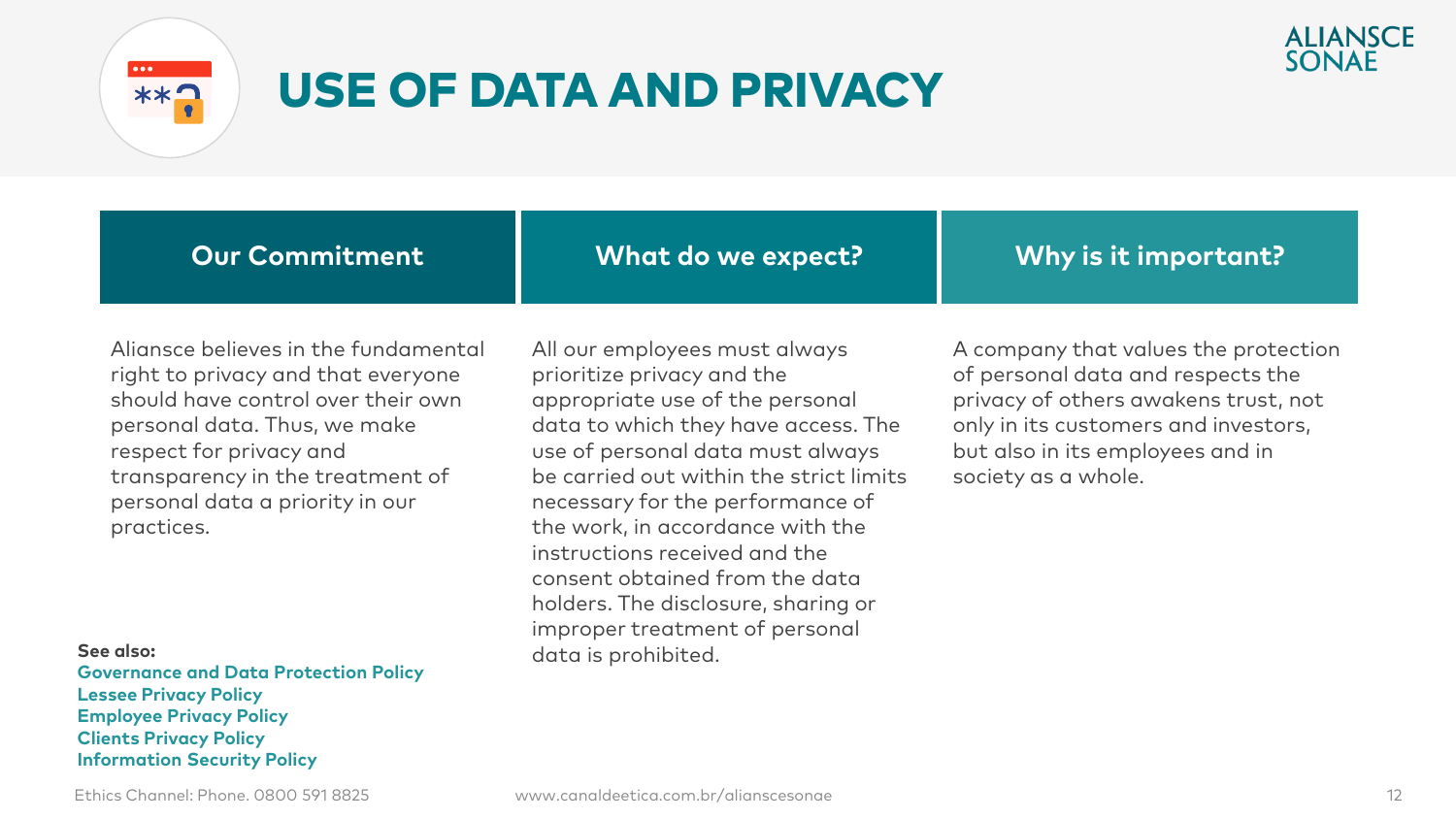

### USE OF DATA AND PRIVACY



**Our Commitment**

**What do we expect?**

**Why is it important?**

Aliansce believes in the fundamental right to privacy and that everyone should have control over their own personal data. Thus, we make respect for privacy and transparency in the treatment of personal data a priority in our practices.

**See also: Governance and Data Protection Policy Lessee Privacy Policy Employee Privacy Policy Clients Privacy Policy Information Security Policy**

All our employees must always prioritize privacy and the appropriate use of the personal data to which they have access. The use of personal data must always be carried out within the strict limits necessary for the performance of the work, in accordance with the instructions received and the consent obtained from the data holders. The disclosure, sharing or improper treatment of personal data is prohibited.

A company that values the protection of personal data and respects the privacy of others awakens trust, not only in its customers and investors, but also in its employees and in society as a whole.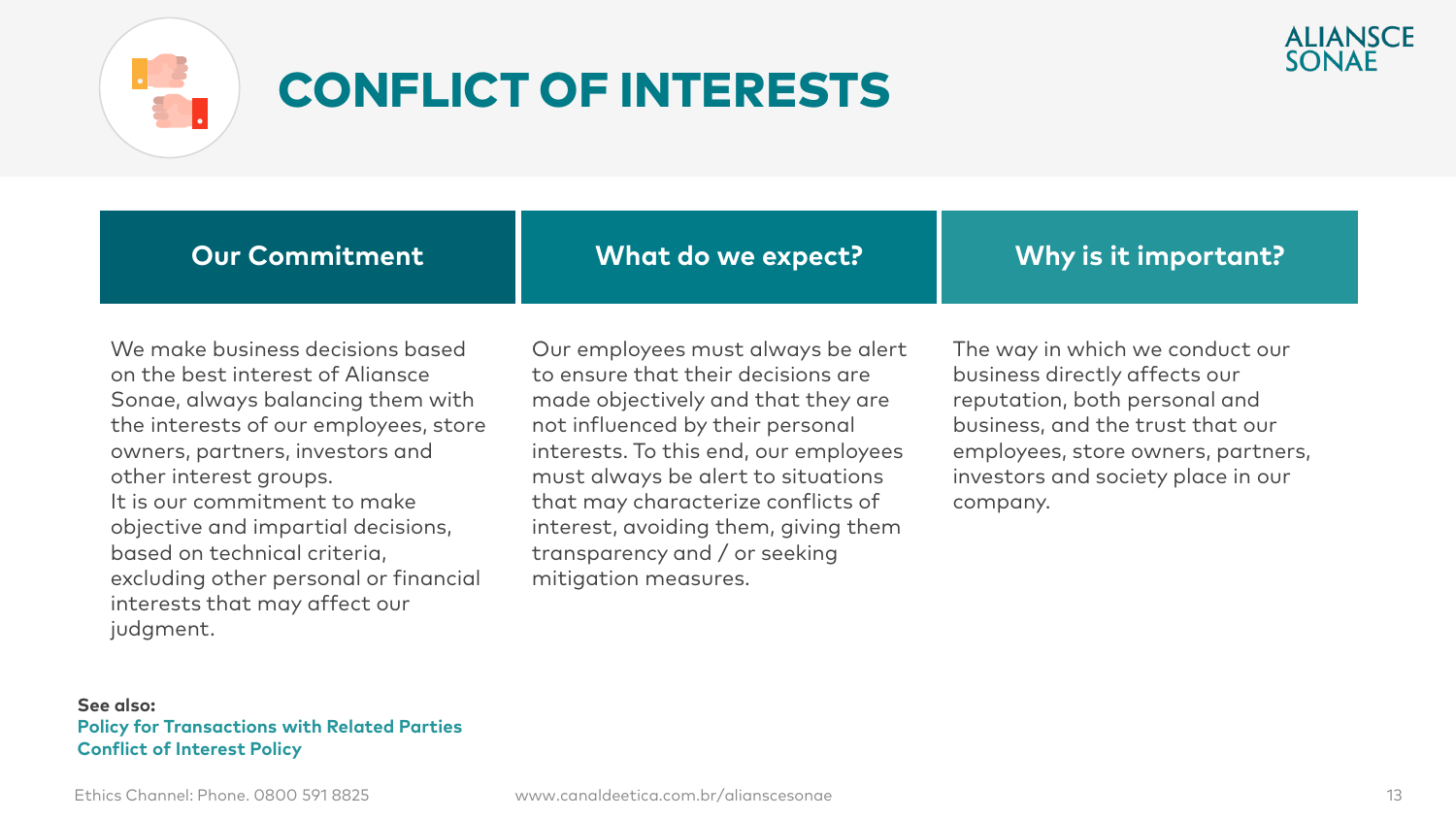

### CONFLICT OF INTERESTS



**Our Commitment**

**What do we expect?**

**Why is it important?**

We make business decisions based on the best interest of Aliansce Sonae, always balancing them with the interests of our employees, store owners, partners, investors and other interest groups. It is our commitment to make objective and impartial decisions, based on technical criteria, excluding other personal or financial interests that may affect our judgment.

Our employees must always be alert to ensure that their decisions are made objectively and that they are not influenced by their personal interests. To this end, our employees must always be alert to situations that may characterize conflicts of interest, avoiding them, giving them transparency and / or seeking mitigation measures.

The way in which we conduct our business directly affects our reputation, both personal and business, and the trust that our employees, store owners, partners, investors and society place in our company.

#### **See also: Policy for Transactions with Related Parties Conflict of Interest Policy**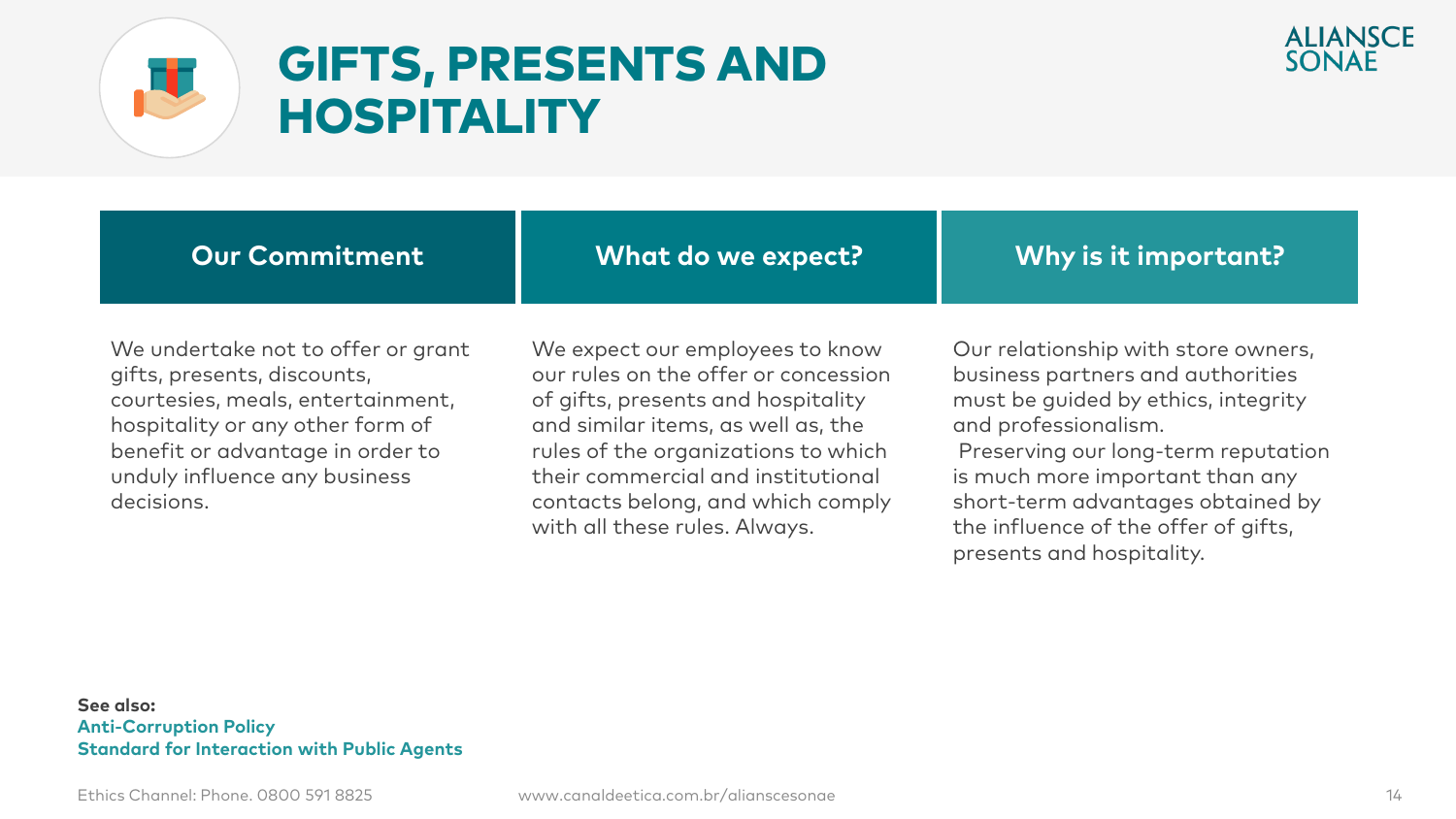



### GIFTS, PRESENTS AND HOSPITALITY

| <b>Our Commitment</b>              | What do we expect?              | $\mid$ Why is it important?      |
|------------------------------------|---------------------------------|----------------------------------|
| We undertake not to offer or grant | We expect our employees to know | Our relationship with store owne |

gifts, presents, discounts, courtesies, meals, entertainment, hospitality or any other form of benefit or advantage in order to unduly influence any business decisions.

our rules on the offer or concession of gifts, presents and hospitality and similar items, as well as, the rules of the organizations to which their commercial and institutional contacts belong, and which comply with all these rules. Always.

re owners, business partners and authorities must be guided by ethics, integrity and professionalism.

Preserving our long-term reputation is much more important than any short-term advantages obtained by the influence of the offer of gifts, presents and hospitality.

#### **See also: Anti-Corruption Policy Standard for Interaction with Public Agents**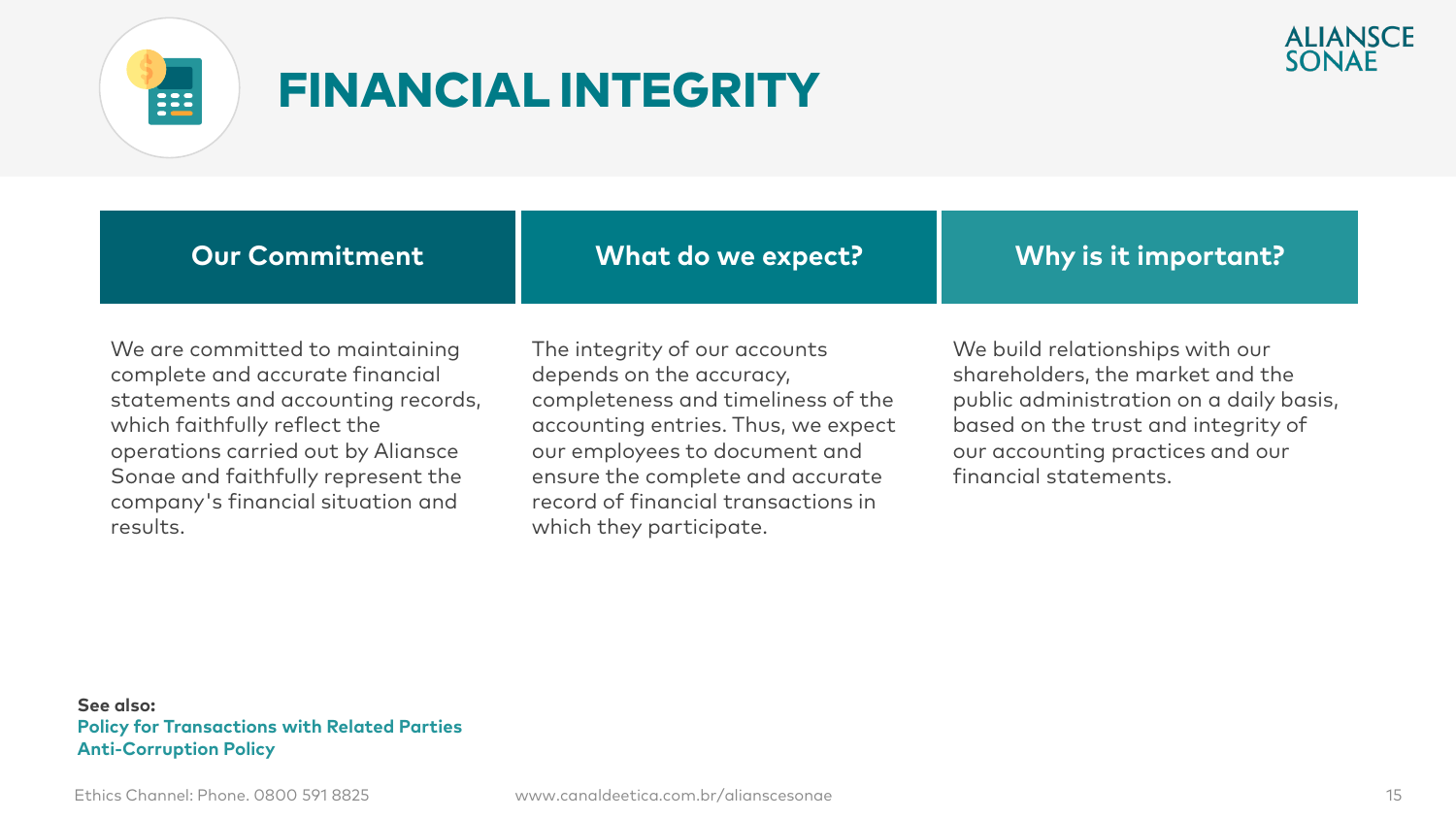

### FINANCIAL INTEGRITY



We are committed to maintaining complete and accurate financial statements and accounting records, which faithfully reflect the operations carried out by Aliansce Sonae and faithfully represent the company's financial situation and results.

**Our Commitment**

The integrity of our accounts depends on the accuracy, completeness and timeliness of the accounting entries. Thus, we expect our employees to document and ensure the complete and accurate record of financial transactions in which they participate.

**What do we expect?**

We build relationships with our shareholders, the market and the public administration on a daily basis, based on the trust and integrity of our accounting practices and our financial statements.

**Why is it important?**

#### **See also: Policy for Transactions with Related Parties Anti-Corruption Policy**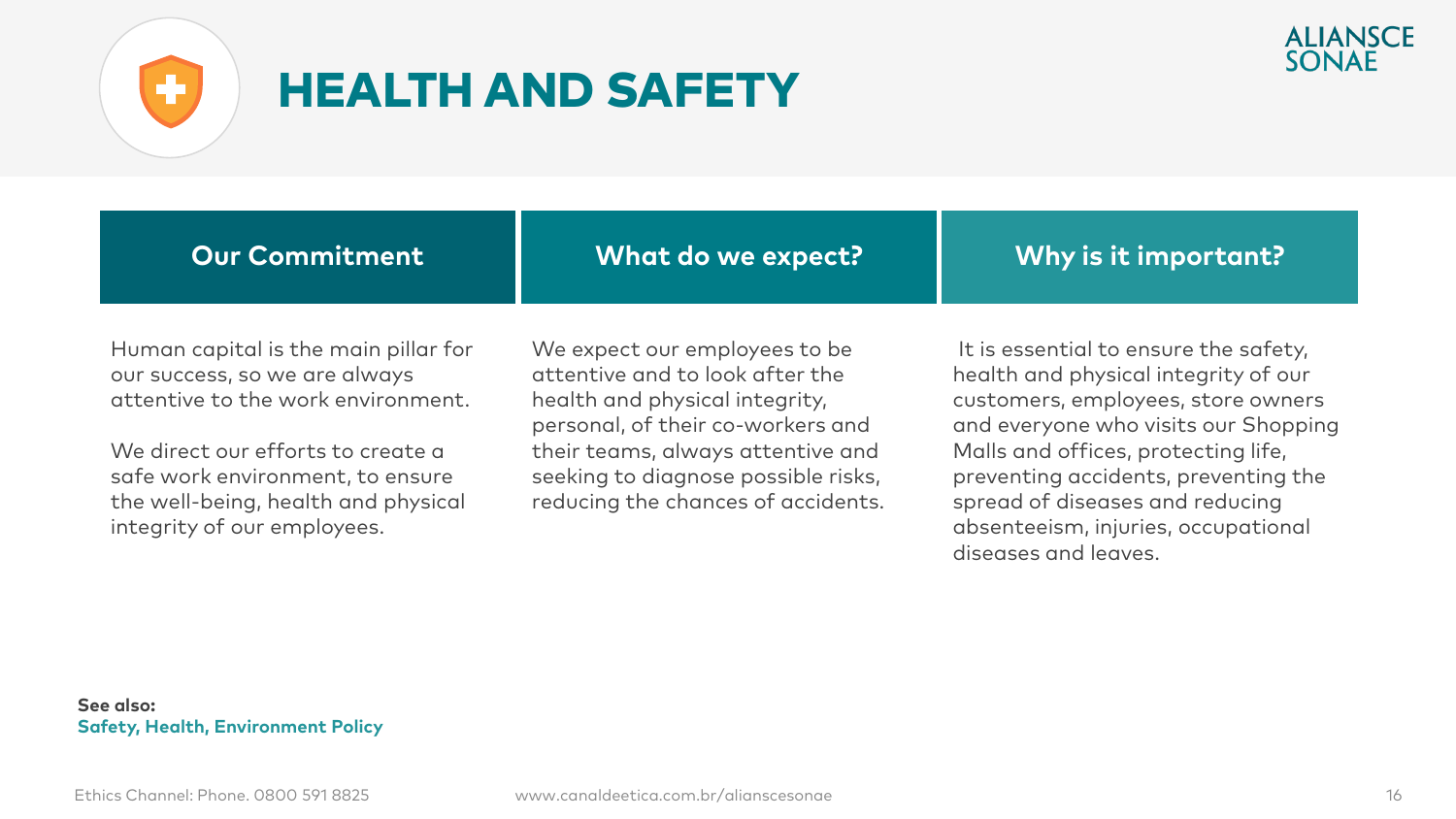



### HEALTH AND SAFETY

| <b>Our Commitment</b> | What do we expect? | Why is it important? |
|-----------------------|--------------------|----------------------|
|                       |                    |                      |

Human capital is the main pillar for our success, so we are always attentive to the work environment.

We direct our efforts to create a safe work environment, to ensure the well-being, health and physical integrity of our employees.

We expect our employees to be attentive and to look after the health and physical integrity, personal, of their co-workers and their teams, always attentive and seeking to diagnose possible risks, reducing the chances of accidents.

It is essential to ensure the safety, health and physical integrity of our customers, employees, store owners and everyone who visits our Shopping Malls and offices, protecting life, preventing accidents, preventing the spread of diseases and reducing absenteeism, injuries, occupational diseases and leaves.

#### **See also: Safety, Health, Environment Policy**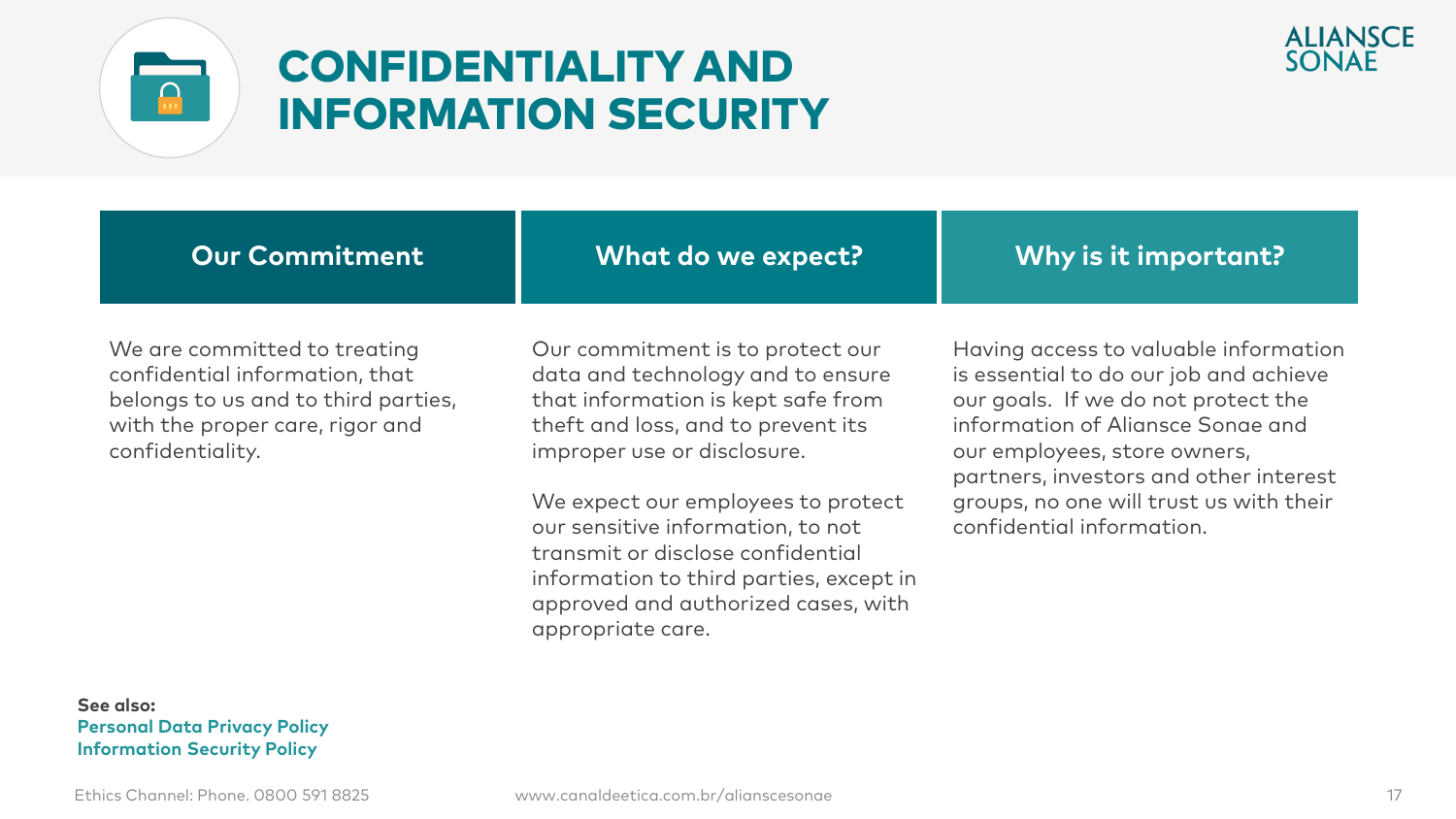

#### CONFIDENTIALITY AND INFORMATION SECURITY



| <b>Our Commitment</b>                                                                                                                                        | What do we expect?                                                                                                                                                               | Why is it important?                                                                                                                                                                                                                                                                                          |
|--------------------------------------------------------------------------------------------------------------------------------------------------------------|----------------------------------------------------------------------------------------------------------------------------------------------------------------------------------|---------------------------------------------------------------------------------------------------------------------------------------------------------------------------------------------------------------------------------------------------------------------------------------------------------------|
| We are committed to treating<br>confidential information, that<br>belongs to us and to third parties,<br>with the proper care, rigor and<br>confidentiality. | Our commitment is to protect our<br>data and technology and to ensure<br>that information is kept safe from<br>theft and loss, and to prevent its<br>improper use or disclosure. | Having access to valuable information<br>is essential to do our job and achieve<br>our goals. If we do not protect the<br>information of Aliansce Sonae and<br>our employees, store owners,<br>partners, investors and other interest<br>groups, no one will trust us with their<br>confidential information. |
|                                                                                                                                                              | We expect our employees to protect<br>our sensitive information, to not<br>transmit or disclose confidential                                                                     |                                                                                                                                                                                                                                                                                                               |

information to third parties, except in approved and authorized cases, with

**See also: Personal Data Privacy Policy Information Security Policy** 

appropriate care.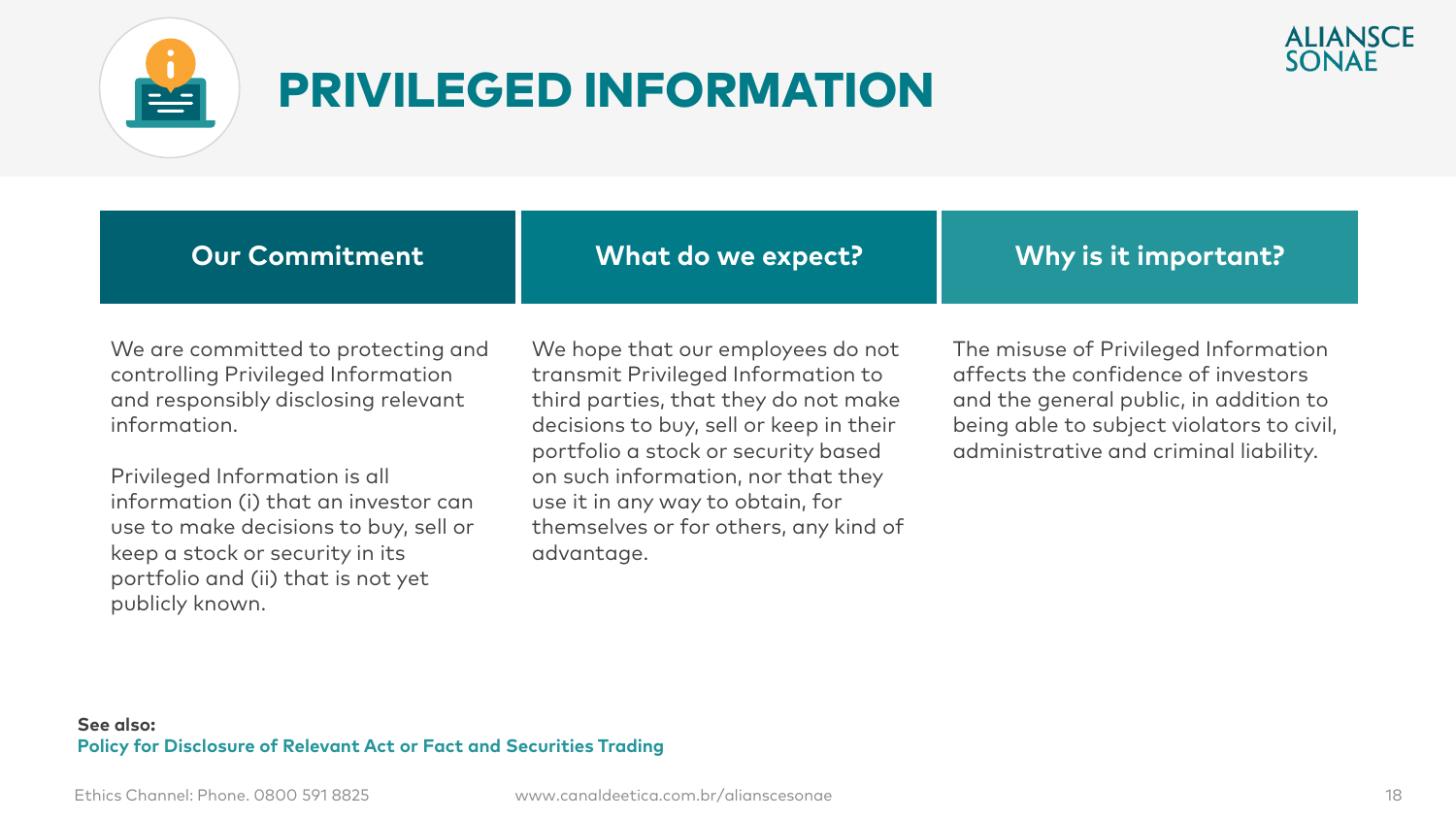

#### PRIVILEGED INFORMATION



| $\mid$ Why is it important? $\mid$ |
|------------------------------------|
|                                    |

We are committed to protecting and controlling Privileged Information and responsibly disclosing relevant information.

Privileged Information is all information (i) that an investor can use to make decisions to buy, sell or keep a stock or security in its portfolio and (ii) that is not yet publicly known.

We hope that our employees do not transmit Privileged Information to third parties, that they do not make decisions to buy, sell or keep in their portfolio a stock or security based on such information, nor that they use it in any way to obtain, for themselves or for others, any kind of advantage.

The misuse of Privileged Information affects the confidence of investors and the general public, in addition to being able to subject violators to civil, administrative and criminal liability.

#### **See also: Policy for Disclosure of Relevant Act or Fact and Securities Trading**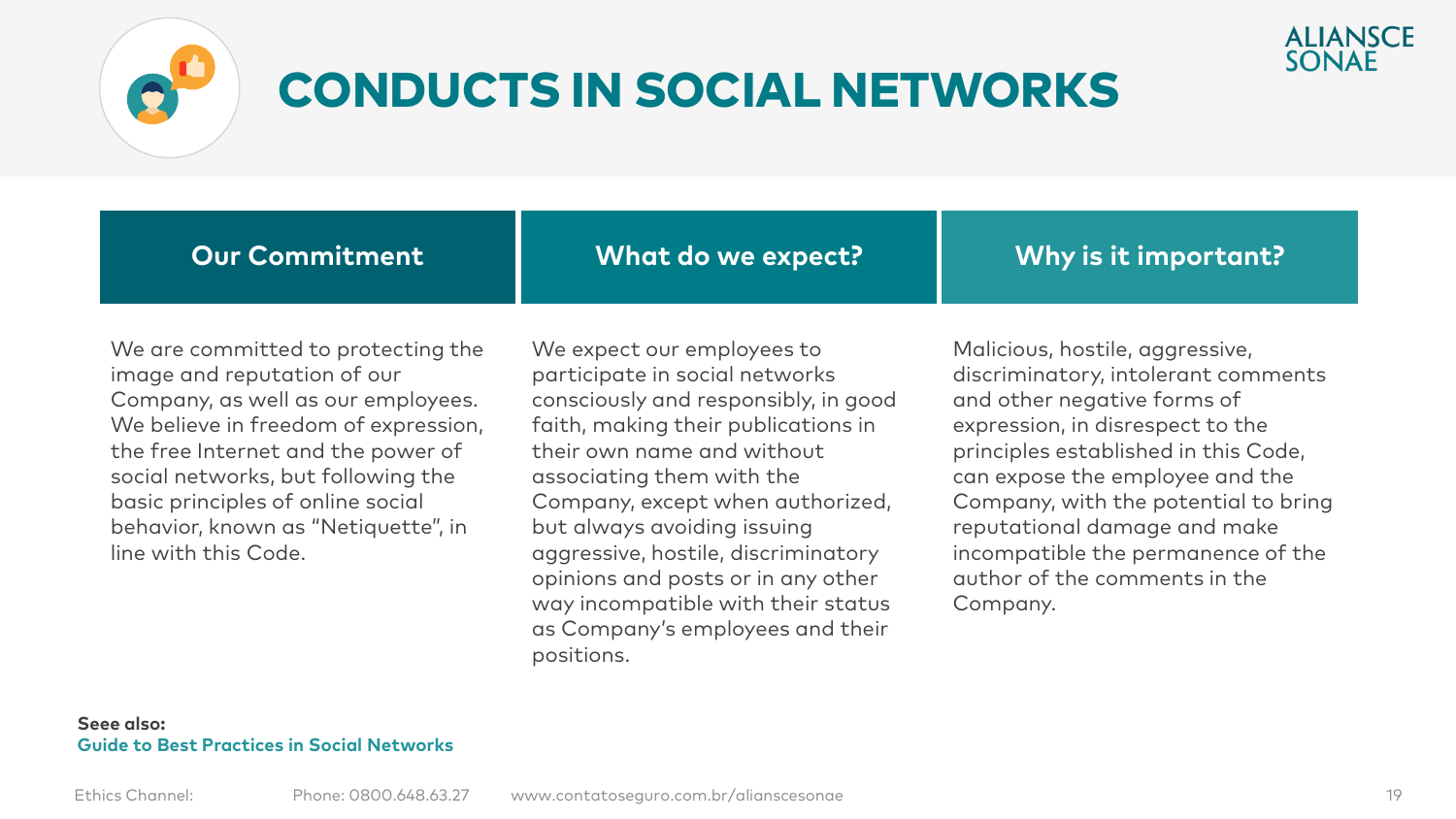

### CONDUCTS IN SOCIAL NETWORKS

**Our Commitment**

**What do we expect?**

**Why is it important?**

We are committed to protecting the image and reputation of our Company, as well as our employees. We believe in freedom of expression, the free Internet and the power of social networks, but following the basic principles of online social behavior, known as "Netiquette", in line with this Code.

We expect our employees to participate in social networks consciously and responsibly, in good faith, making their publications in their own name and without associating them with the Company, except when authorized, but always avoiding issuing aggressive, hostile, discriminatory opinions and posts or in any other way incompatible with their status as Company's employees and their positions.

Malicious, hostile, aggressive, discriminatory, intolerant comments and other negative forms of expression, in disrespect to the principles established in this Code, can expose the employee and the Company, with the potential to bring reputational damage and make incompatible the permanence of the author of the comments in the Company.

**ALIANSCE** SONAF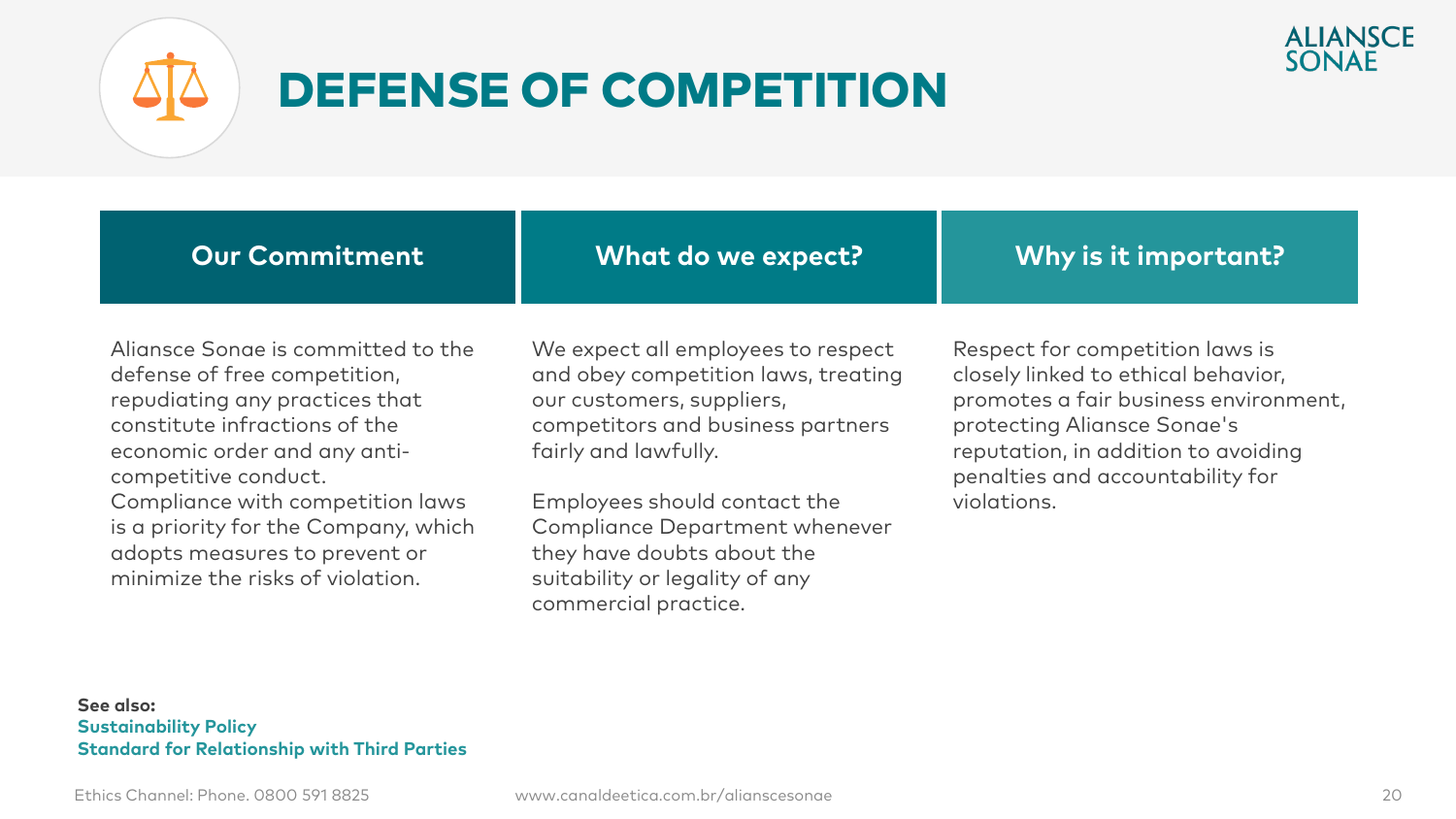

### DEFENSE OF COMPETITION



defense of free competition, repudiating any practices that constitute infractions of the economic order and any anticompetitive conduct. Compliance with competition laws is a priority for the Company, which adopts measures to prevent or

our customers, suppliers, competitors and business partners fairly and lawfully.

Employees should contact the Compliance Department whenever they have doubts about the suitability or legality of any commercial practice.

promotes a fair business environment, protecting Aliansce Sonae's reputation, in addition to avoiding penalties and accountability for violations.

#### **See also: Sustainability Policy Standard for Relationship with Third Parties**

minimize the risks of violation.

**ALIANSCE** SONAF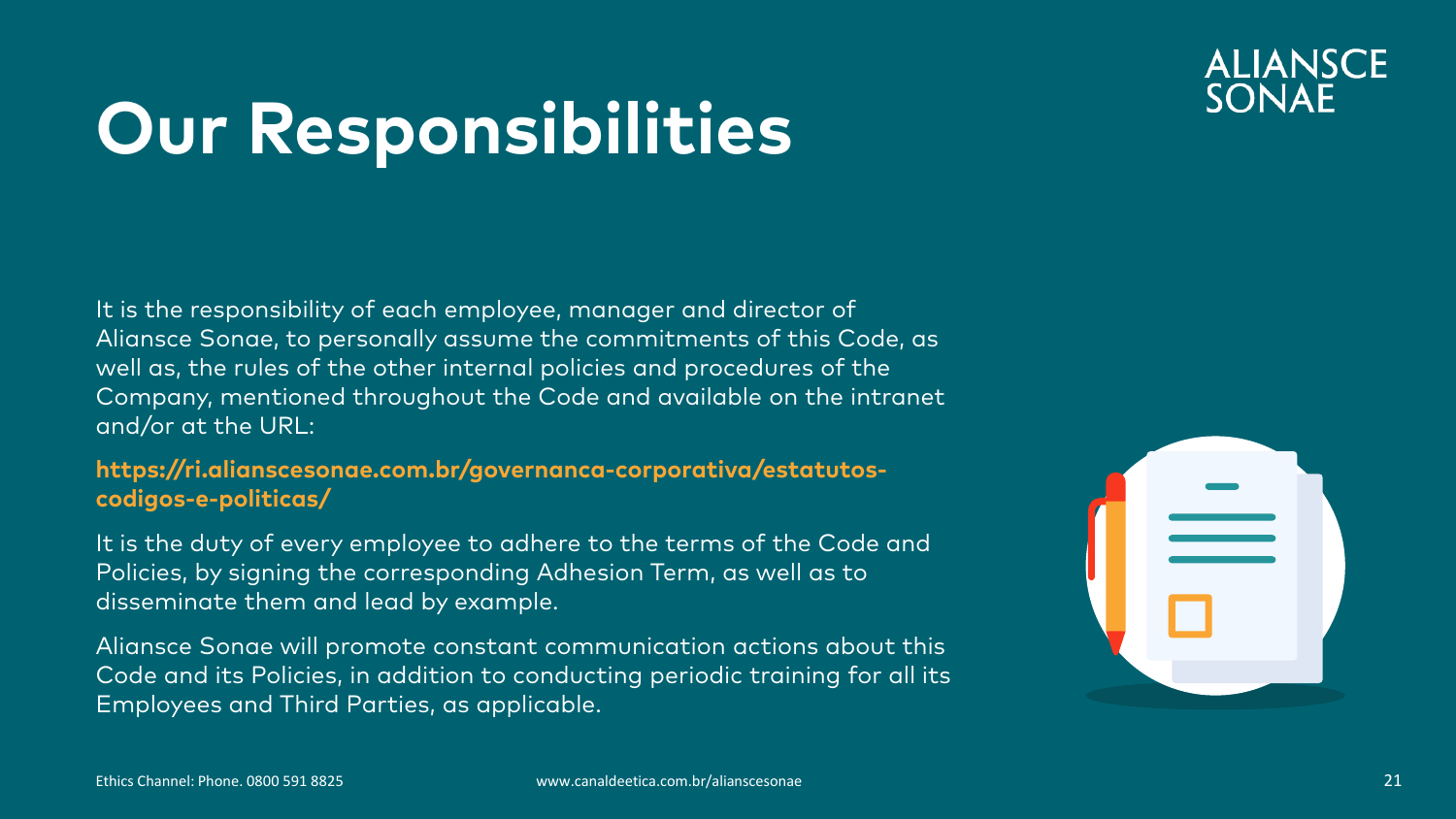#### **ALIANSCE** SONAE

## **Our Responsibilities**

It is the responsibility of each employee, manager and director of Aliansce Sonae, to personally assume the commitments of this Code, as well as, the rules of the other internal policies and procedures of the Company, mentioned throughout the Code and available on the intranet and/or at the URL:

#### **https://ri.alianscesonae.com.br/governanca-corporativa/estatutoscodigos-e-politicas/**

It is the duty of every employee to adhere to the terms of the Code and Policies, by signing the corresponding Adhesion Term, as well as to disseminate them and lead by example.

Aliansce Sonae will promote constant communication actions about this Code and its Policies, in addition to conducting periodic training for all its Employees and Third Parties, as applicable.

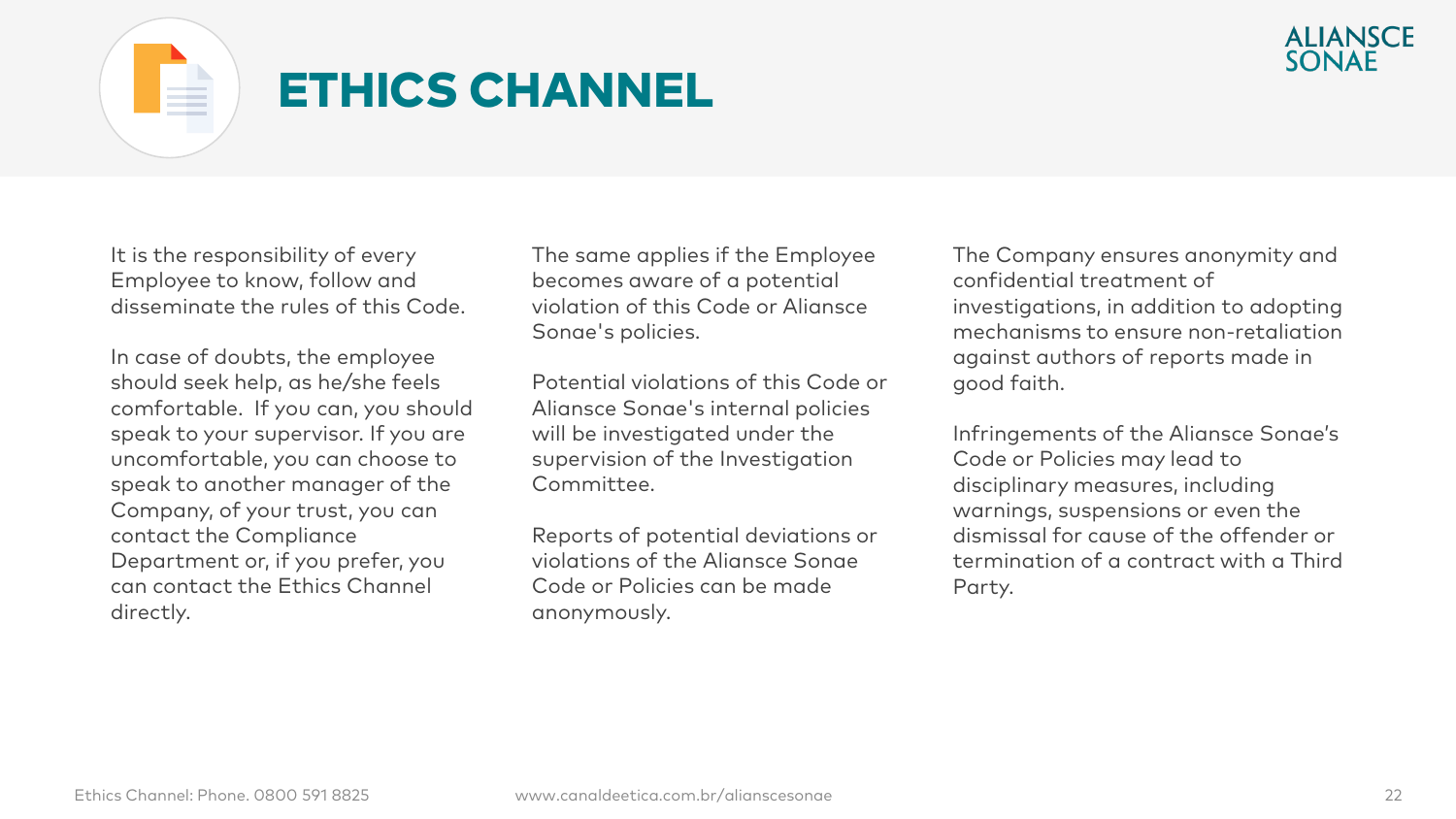

### ETHICS CHANNEL

It is the responsibility of every Employee to know, follow and disseminate the rules of this Code.

In case of doubts, the employee should seek help, as he/she feels comfortable. If you can, you should speak to your supervisor. If you are uncomfortable, you can choose to speak to another manager of the Company, of your trust, you can contact the Compliance Department or, if you prefer, you can contact the Ethics Channel directly.

The same applies if the Employee becomes aware of a potential violation of this Code or Aliansce Sonae's policies.

Potential violations of this Code or Aliansce Sonae's internal policies will be investigated under the supervision of the Investigation Committee.

Reports of potential deviations or violations of the Aliansce Sonae Code or Policies can be made anonymously.

The Company ensures anonymity and confidential treatment of investigations, in addition to adopting mechanisms to ensure non-retaliation against authors of reports made in good faith.

Infringements of the Aliansce Sonae's Code or Policies may lead to disciplinary measures, including warnings, suspensions or even the dismissal for cause of the offender or termination of a contract with a Third Party.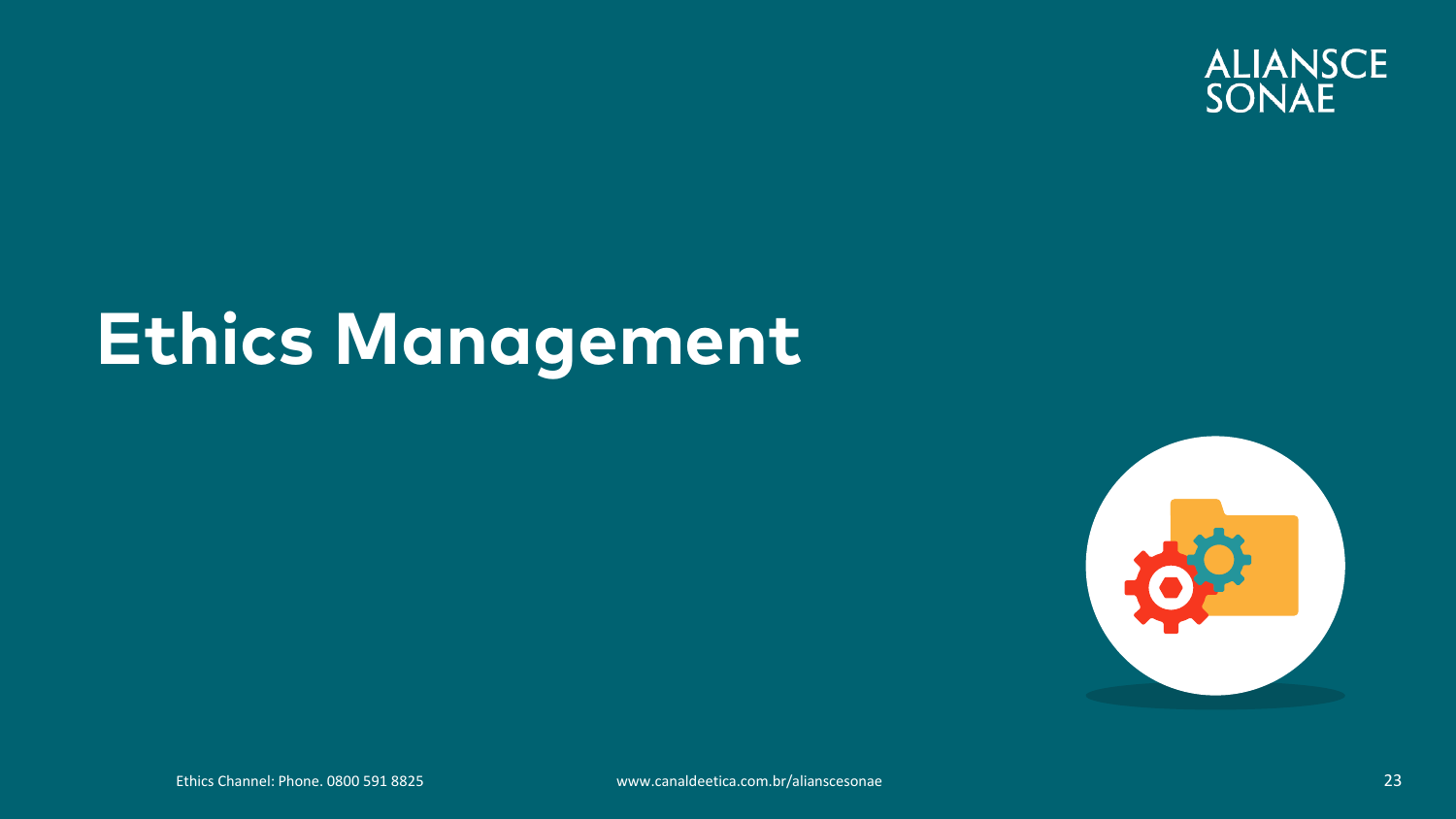

## **Ethics Management**

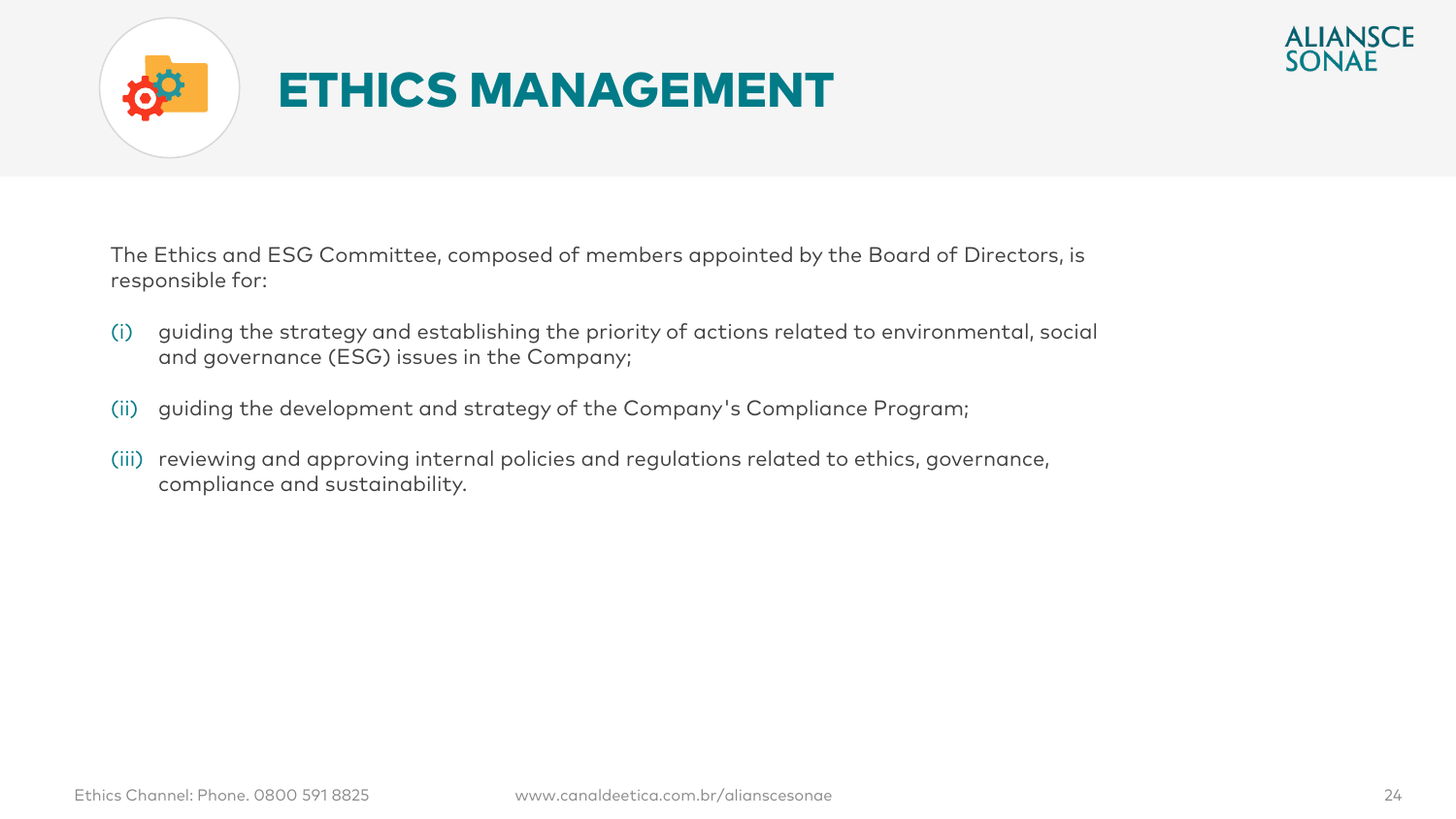



The Ethics and ESG Committee, composed of members appointed by the Board of Directors, is responsible for:

- (i) guiding the strategy and establishing the priority of actions related to environmental, social and governance (ESG) issues in the Company;
- (ii) guiding the development and strategy of the Company's Compliance Program;
- (iii) reviewing and approving internal policies and regulations related to ethics, governance, compliance and sustainability.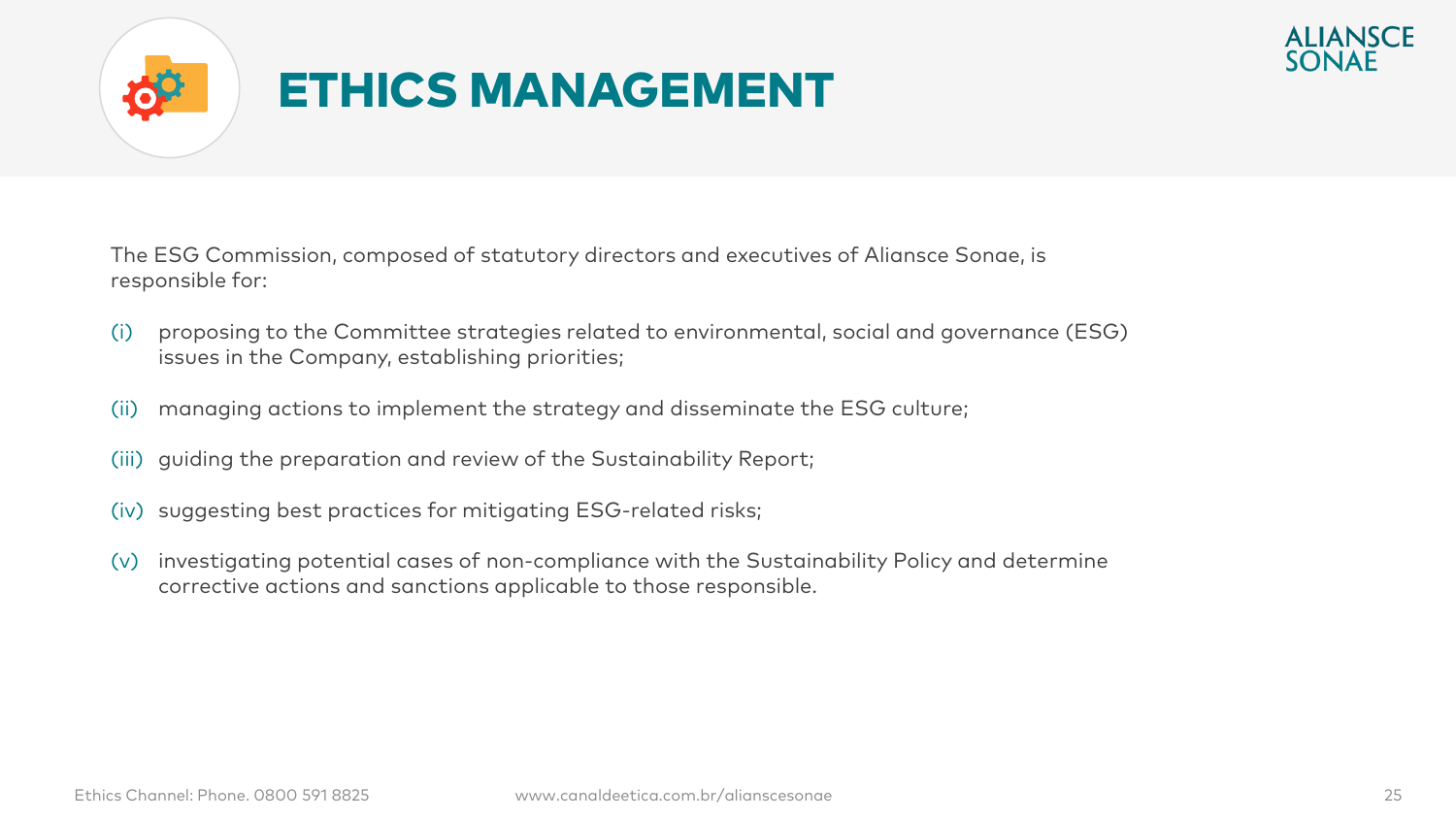



The ESG Commission, composed of statutory directors and executives of Aliansce Sonae, is responsible for:

- (i) proposing to the Committee strategies related to environmental, social and governance (ESG) issues in the Company, establishing priorities;
- (ii) managing actions to implement the strategy and disseminate the ESG culture;
- (iii) guiding the preparation and review of the Sustainability Report;
- (iv) suggesting best practices for mitigating ESG-related risks;
- (v) investigating potential cases of non-compliance with the Sustainability Policy and determine corrective actions and sanctions applicable to those responsible.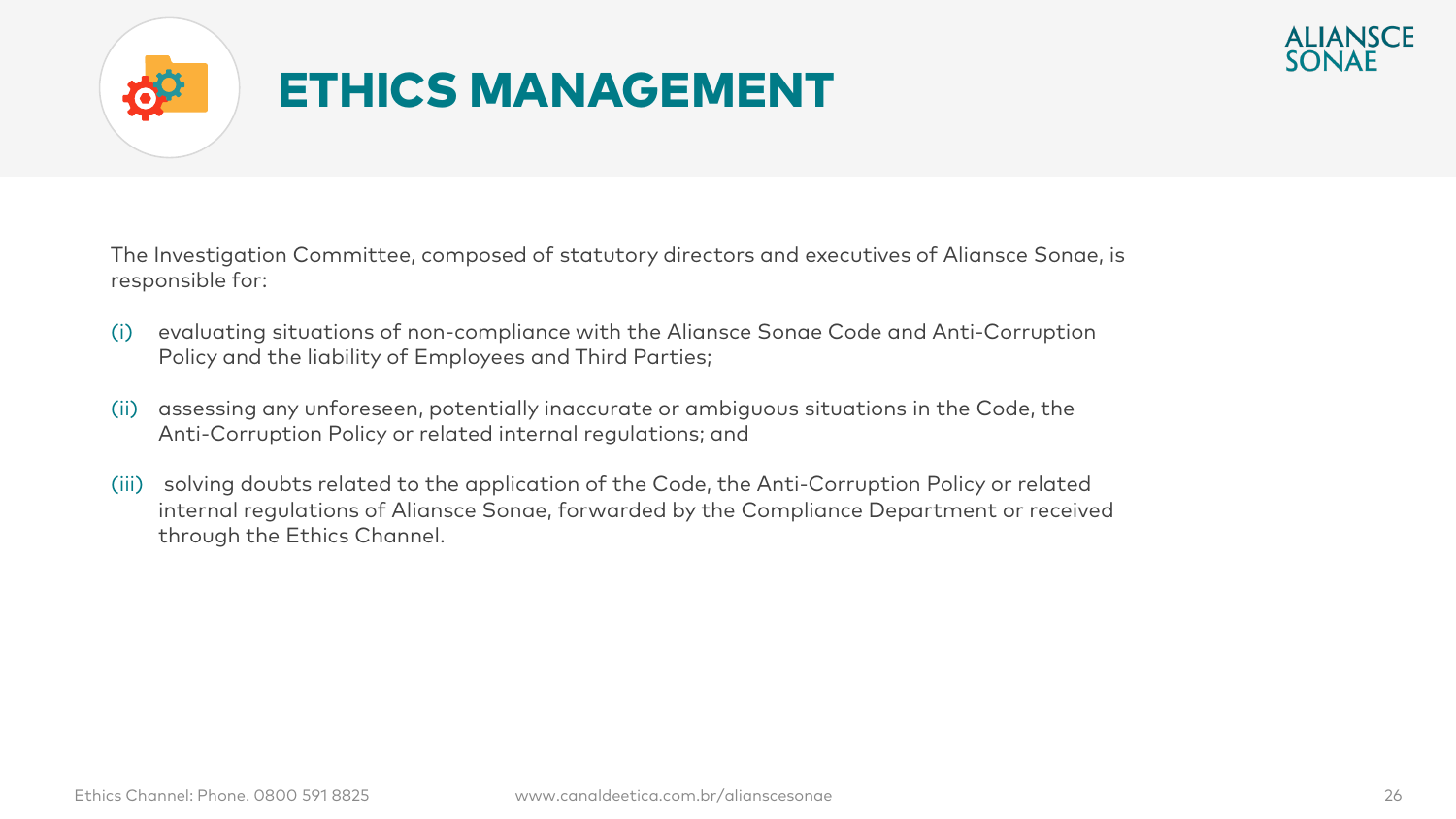



The Investigation Committee, composed of statutory directors and executives of Aliansce Sonae, is responsible for:

- (i) evaluating situations of non-compliance with the Aliansce Sonae Code and Anti-Corruption Policy and the liability of Employees and Third Parties;
- (ii) assessing any unforeseen, potentially inaccurate or ambiguous situations in the Code, the Anti-Corruption Policy or related internal regulations; and
- (iii) solving doubts related to the application of the Code, the Anti-Corruption Policy or related internal regulations of Aliansce Sonae, forwarded by the Compliance Department or received through the Ethics Channel.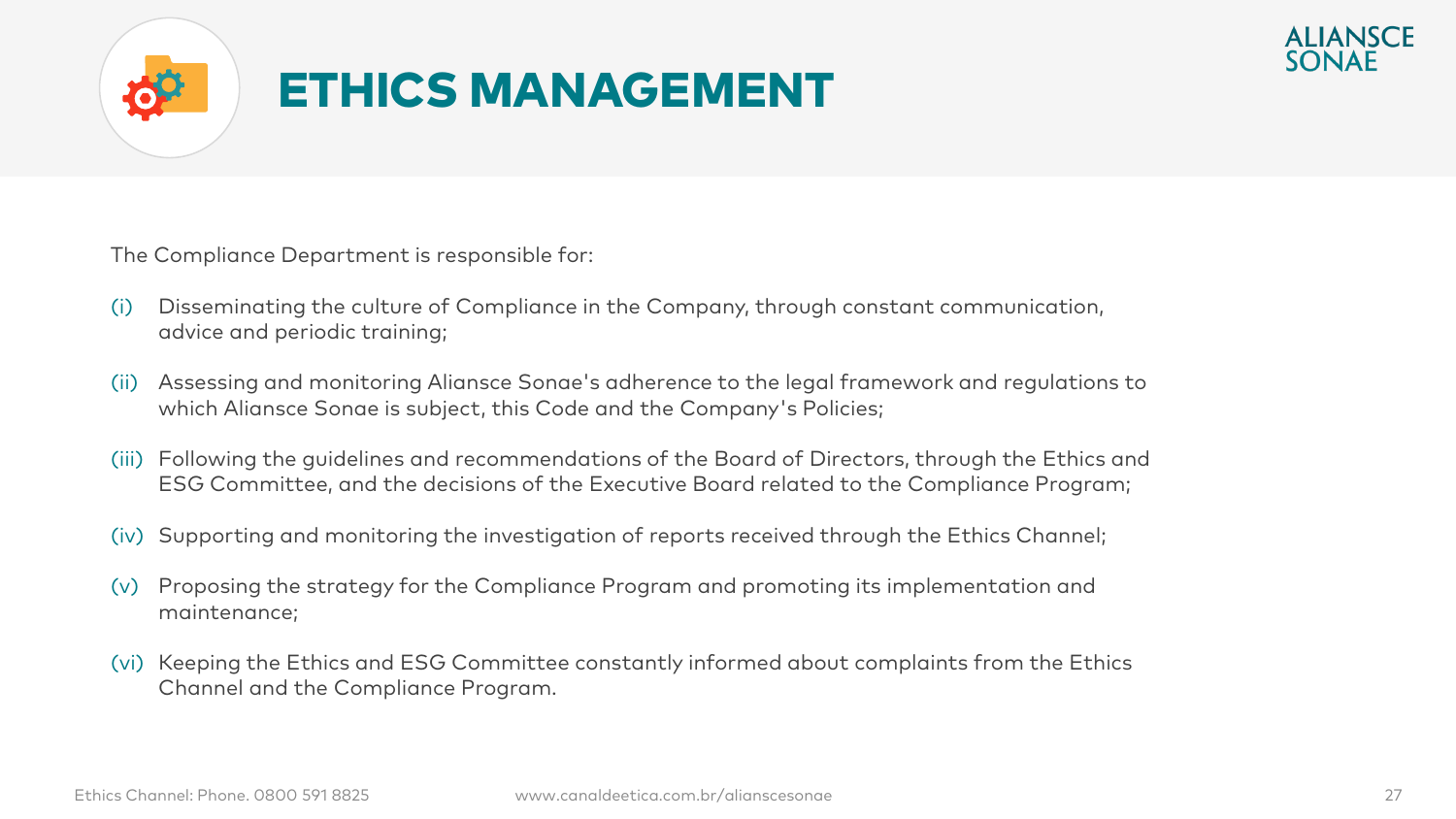



The Compliance Department is responsible for:

- (i) Disseminating the culture of Compliance in the Company, through constant communication, advice and periodic training;
- (ii) Assessing and monitoring Aliansce Sonae's adherence to the legal framework and regulations to which Aliansce Sonae is subject, this Code and the Company's Policies;
- (iii) Following the guidelines and recommendations of the Board of Directors, through the Ethics and ESG Committee, and the decisions of the Executive Board related to the Compliance Program;
- (iv) Supporting and monitoring the investigation of reports received through the Ethics Channel;
- (v) Proposing the strategy for the Compliance Program and promoting its implementation and maintenance;
- (vi) Keeping the Ethics and ESG Committee constantly informed about complaints from the Ethics Channel and the Compliance Program.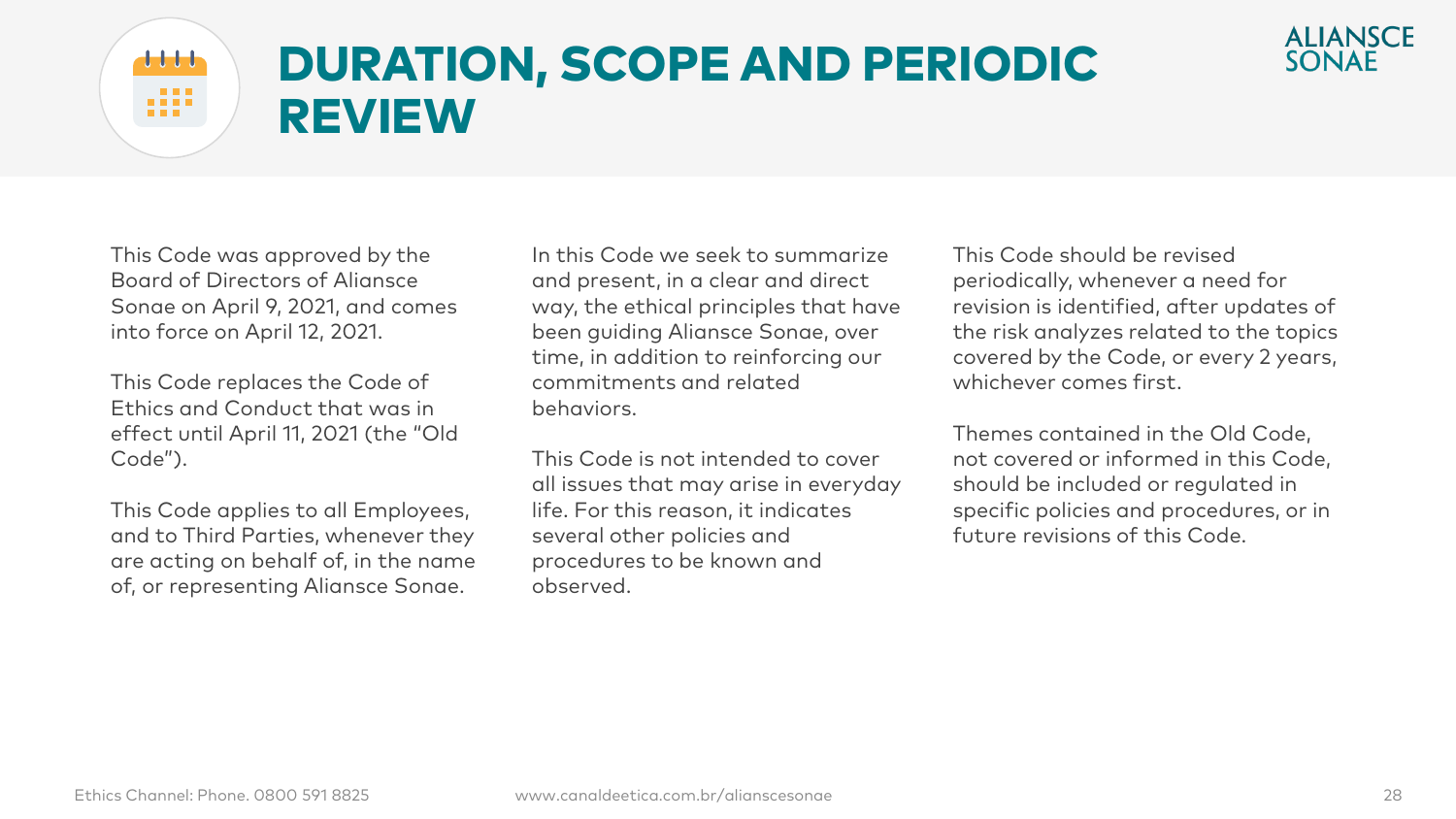

#### DURATION, SCOPE AND PERIODIC  $\frac{1}{2}$   $\frac{1}{2}$   $\frac{1}{2}$   $\frac{1}{2}$ . . . . REVIEW

This Code was approved by the Board of Directors of Aliansce Sonae on April 9, 2021, and comes into force on April 12, 2021.

. . .

This Code replaces the Code of Ethics and Conduct that was in effect until April 11, 2021 (the "Old Code").

This Code applies to all Employees, and to Third Parties, whenever they are acting on behalf of, in the name of, or representing Aliansce Sonae.

In this Code we seek to summarize and present, in a clear and direct way, the ethical principles that have been guiding Aliansce Sonae, over time, in addition to reinforcing our commitments and related behaviors.

This Code is not intended to cover all issues that may arise in everyday life. For this reason, it indicates several other policies and procedures to be known and observed.

This Code should be revised periodically, whenever a need for revision is identified, after updates of the risk analyzes related to the topics covered by the Code, or every 2 years, whichever comes first.

Themes contained in the Old Code, not covered or informed in this Code, should be included or regulated in specific policies and procedures, or in future revisions of this Code.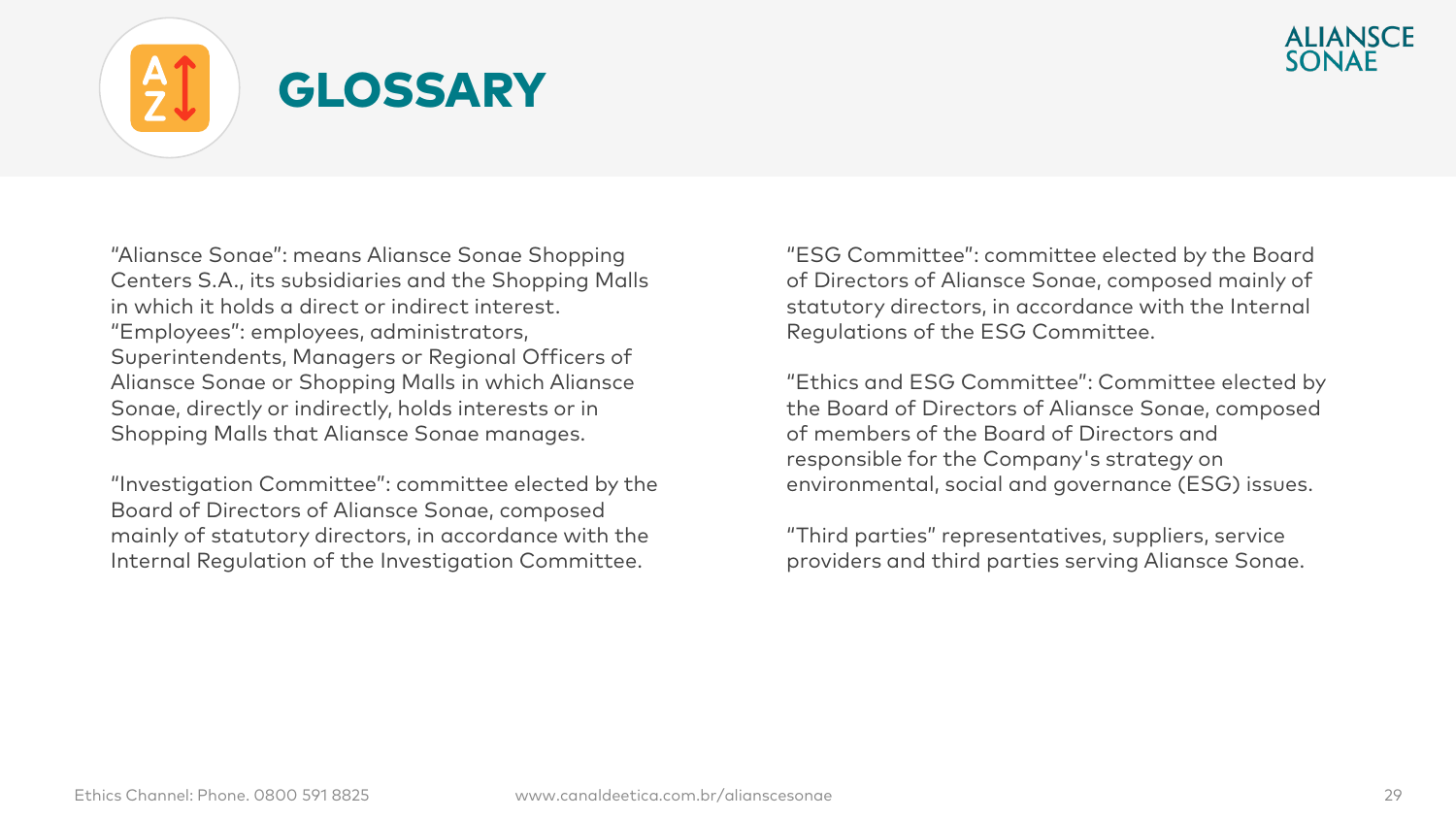

## GLOSSARY

"Aliansce Sonae": means Aliansce Sonae Shopping Centers S.A., its subsidiaries and the Shopping Malls in which it holds a direct or indirect interest. "Employees": employees, administrators, Superintendents, Managers or Regional Officers of Aliansce Sonae or Shopping Malls in which Aliansce Sonae, directly or indirectly, holds interests or in Shopping Malls that Aliansce Sonae manages.

"Investigation Committee": committee elected by the Board of Directors of Aliansce Sonae, composed mainly of statutory directors, in accordance with the Internal Regulation of the Investigation Committee.

"ESG Committee": committee elected by the Board of Directors of Aliansce Sonae, composed mainly of statutory directors, in accordance with the Internal Regulations of the ESG Committee.

"Ethics and ESG Committee": Committee elected by the Board of Directors of Aliansce Sonae, composed of members of the Board of Directors and responsible for the Company's strategy on environmental, social and governance (ESG) issues.

"Third parties" representatives, suppliers, service providers and third parties serving Aliansce Sonae.